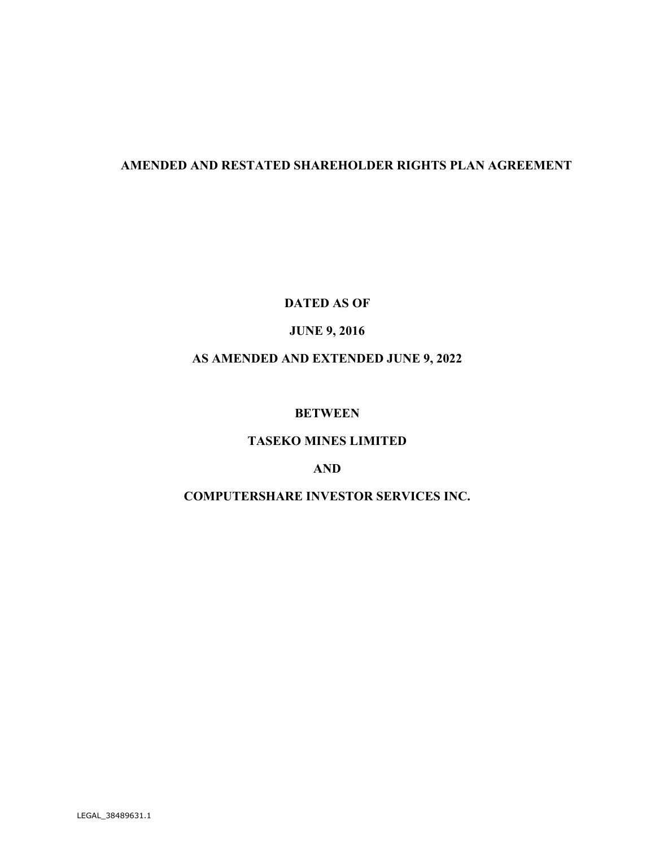# **AMENDED AND RESTATED SHAREHOLDER RIGHTS PLAN AGREEMENT**

**DATED AS OF** 

# **JUNE 9, 2016**

# **AS AMENDED AND EXTENDED JUNE 9, 2022**

## **BETWEEN**

## **TASEKO MINES LIMITED**

### **AND**

# **COMPUTERSHARE INVESTOR SERVICES INC.**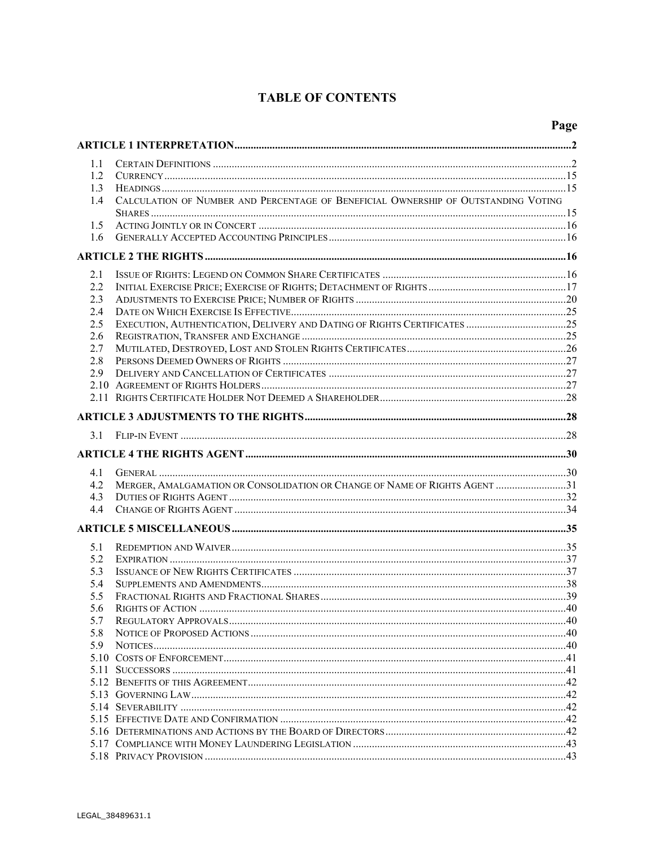# **TABLE OF CONTENTS**

| 1.1 |                                                                                    |  |
|-----|------------------------------------------------------------------------------------|--|
| 1.2 |                                                                                    |  |
| 1.3 |                                                                                    |  |
| 1.4 | CALCULATION OF NUMBER AND PERCENTAGE OF BENEFICIAL OWNERSHIP OF OUTSTANDING VOTING |  |
| 1.5 |                                                                                    |  |
| 1.6 |                                                                                    |  |
|     |                                                                                    |  |
| 2.1 |                                                                                    |  |
| 2.2 |                                                                                    |  |
| 2.3 |                                                                                    |  |
| 2.4 |                                                                                    |  |
| 2.5 |                                                                                    |  |
| 2.6 |                                                                                    |  |
| 2.7 |                                                                                    |  |
| 2.8 |                                                                                    |  |
| 2.9 |                                                                                    |  |
|     |                                                                                    |  |
|     |                                                                                    |  |
|     |                                                                                    |  |
| 3.1 |                                                                                    |  |
|     |                                                                                    |  |
| 4.1 |                                                                                    |  |
| 4.2 | MERGER, AMALGAMATION OR CONSOLIDATION OR CHANGE OF NAME OF RIGHTS AGENT 31         |  |
| 4.3 |                                                                                    |  |
| 4.4 |                                                                                    |  |
|     |                                                                                    |  |
| 5.1 |                                                                                    |  |
| 5.2 |                                                                                    |  |
| 5.3 |                                                                                    |  |
| 5.4 |                                                                                    |  |
| 5.5 |                                                                                    |  |
| 5.6 | $\frac{40}{2}$<br><b>RIGHTS OF ACTION.</b>                                         |  |
| 5.7 |                                                                                    |  |
| 5.8 |                                                                                    |  |
| 5.9 |                                                                                    |  |
|     |                                                                                    |  |
|     |                                                                                    |  |
|     |                                                                                    |  |
|     |                                                                                    |  |
|     |                                                                                    |  |
|     |                                                                                    |  |
|     |                                                                                    |  |
|     |                                                                                    |  |
|     |                                                                                    |  |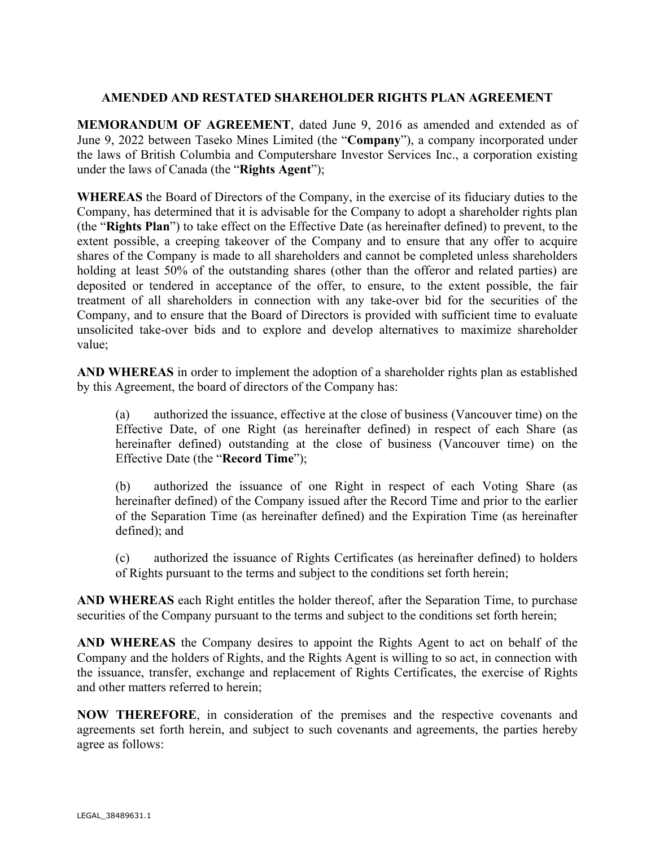## **AMENDED AND RESTATED SHAREHOLDER RIGHTS PLAN AGREEMENT**

**MEMORANDUM OF AGREEMENT**, dated June 9, 2016 as amended and extended as of June 9, 2022 between Taseko Mines Limited (the "**Company**"), a company incorporated under the laws of British Columbia and Computershare Investor Services Inc., a corporation existing under the laws of Canada (the "**Rights Agent**");

**WHEREAS** the Board of Directors of the Company, in the exercise of its fiduciary duties to the Company, has determined that it is advisable for the Company to adopt a shareholder rights plan (the "**Rights Plan**") to take effect on the Effective Date (as hereinafter defined) to prevent, to the extent possible, a creeping takeover of the Company and to ensure that any offer to acquire shares of the Company is made to all shareholders and cannot be completed unless shareholders holding at least 50% of the outstanding shares (other than the offeror and related parties) are deposited or tendered in acceptance of the offer, to ensure, to the extent possible, the fair treatment of all shareholders in connection with any take-over bid for the securities of the Company, and to ensure that the Board of Directors is provided with sufficient time to evaluate unsolicited take-over bids and to explore and develop alternatives to maximize shareholder value;

**AND WHEREAS** in order to implement the adoption of a shareholder rights plan as established by this Agreement, the board of directors of the Company has:

(a) authorized the issuance, effective at the close of business (Vancouver time) on the Effective Date, of one Right (as hereinafter defined) in respect of each Share (as hereinafter defined) outstanding at the close of business (Vancouver time) on the Effective Date (the "**Record Time**");

(b) authorized the issuance of one Right in respect of each Voting Share (as hereinafter defined) of the Company issued after the Record Time and prior to the earlier of the Separation Time (as hereinafter defined) and the Expiration Time (as hereinafter defined); and

(c) authorized the issuance of Rights Certificates (as hereinafter defined) to holders of Rights pursuant to the terms and subject to the conditions set forth herein;

**AND WHEREAS** each Right entitles the holder thereof, after the Separation Time, to purchase securities of the Company pursuant to the terms and subject to the conditions set forth herein;

**AND WHEREAS** the Company desires to appoint the Rights Agent to act on behalf of the Company and the holders of Rights, and the Rights Agent is willing to so act, in connection with the issuance, transfer, exchange and replacement of Rights Certificates, the exercise of Rights and other matters referred to herein;

**NOW THEREFORE**, in consideration of the premises and the respective covenants and agreements set forth herein, and subject to such covenants and agreements, the parties hereby agree as follows: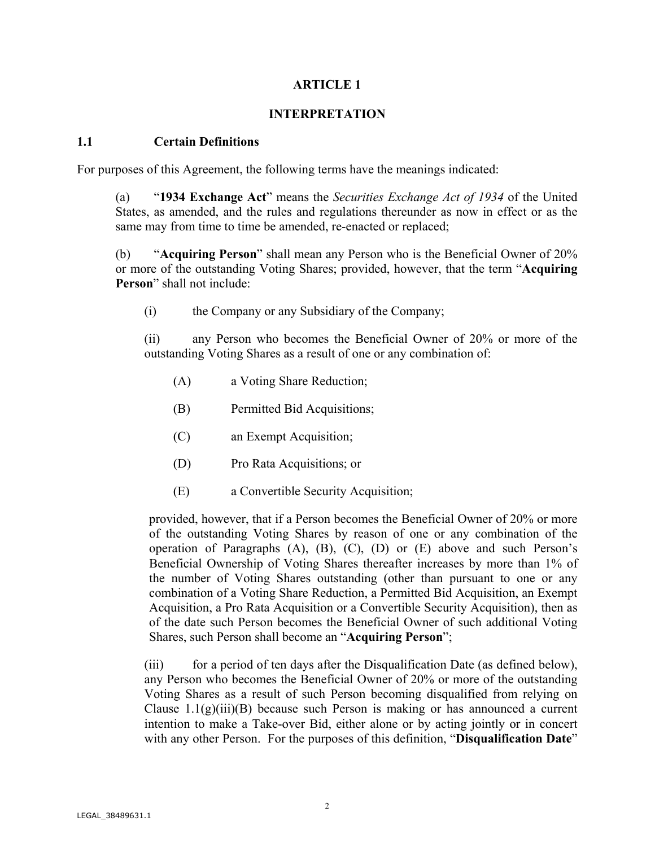## **ARTICLE 1**

### **INTERPRETATION**

#### **1.1 Certain Definitions**

For purposes of this Agreement, the following terms have the meanings indicated:

(a) "**1934 Exchange Act**" means the *Securities Exchange Act of 1934* of the United States, as amended, and the rules and regulations thereunder as now in effect or as the same may from time to time be amended, re-enacted or replaced;

(b) "**Acquiring Person**" shall mean any Person who is the Beneficial Owner of 20% or more of the outstanding Voting Shares; provided, however, that the term "**Acquiring Person**" shall not include:

(i) the Company or any Subsidiary of the Company;

(ii) any Person who becomes the Beneficial Owner of 20% or more of the outstanding Voting Shares as a result of one or any combination of:

- (A) a Voting Share Reduction;
- (B) Permitted Bid Acquisitions;
- (C) an Exempt Acquisition;
- (D) Pro Rata Acquisitions; or
- (E) a Convertible Security Acquisition;

provided, however, that if a Person becomes the Beneficial Owner of 20% or more of the outstanding Voting Shares by reason of one or any combination of the operation of Paragraphs (A), (B), (C), (D) or (E) above and such Person's Beneficial Ownership of Voting Shares thereafter increases by more than 1% of the number of Voting Shares outstanding (other than pursuant to one or any combination of a Voting Share Reduction, a Permitted Bid Acquisition, an Exempt Acquisition, a Pro Rata Acquisition or a Convertible Security Acquisition), then as of the date such Person becomes the Beneficial Owner of such additional Voting Shares, such Person shall become an "**Acquiring Person**";

(iii) for a period of ten days after the Disqualification Date (as defined below), any Person who becomes the Beneficial Owner of 20% or more of the outstanding Voting Shares as a result of such Person becoming disqualified from relying on Clause  $1.1(g)(iii)(B)$  because such Person is making or has announced a current intention to make a Take-over Bid, either alone or by acting jointly or in concert with any other Person. For the purposes of this definition, "**Disqualification Date**"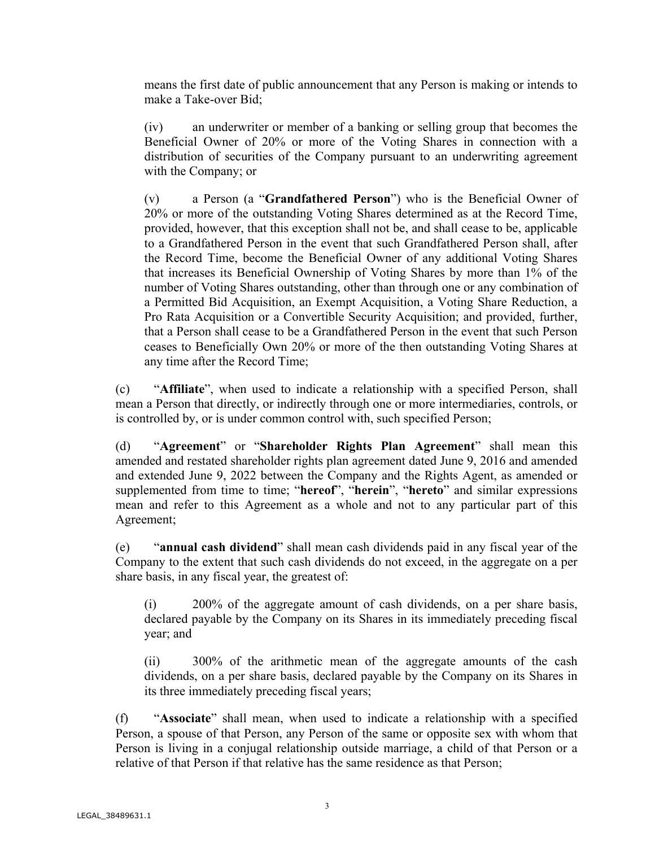means the first date of public announcement that any Person is making or intends to make a Take-over Bid;

(iv) an underwriter or member of a banking or selling group that becomes the Beneficial Owner of 20% or more of the Voting Shares in connection with a distribution of securities of the Company pursuant to an underwriting agreement with the Company; or

(v) a Person (a "**Grandfathered Person**") who is the Beneficial Owner of 20% or more of the outstanding Voting Shares determined as at the Record Time, provided, however, that this exception shall not be, and shall cease to be, applicable to a Grandfathered Person in the event that such Grandfathered Person shall, after the Record Time, become the Beneficial Owner of any additional Voting Shares that increases its Beneficial Ownership of Voting Shares by more than 1% of the number of Voting Shares outstanding, other than through one or any combination of a Permitted Bid Acquisition, an Exempt Acquisition, a Voting Share Reduction, a Pro Rata Acquisition or a Convertible Security Acquisition; and provided, further, that a Person shall cease to be a Grandfathered Person in the event that such Person ceases to Beneficially Own 20% or more of the then outstanding Voting Shares at any time after the Record Time;

(c) "**Affiliate**", when used to indicate a relationship with a specified Person, shall mean a Person that directly, or indirectly through one or more intermediaries, controls, or is controlled by, or is under common control with, such specified Person;

(d) "**Agreement**" or "**Shareholder Rights Plan Agreement**" shall mean this amended and restated shareholder rights plan agreement dated June 9, 2016 and amended and extended June 9, 2022 between the Company and the Rights Agent, as amended or supplemented from time to time; "**hereof**", "**herein**", "**hereto**" and similar expressions mean and refer to this Agreement as a whole and not to any particular part of this Agreement;

(e) "**annual cash dividend**" shall mean cash dividends paid in any fiscal year of the Company to the extent that such cash dividends do not exceed, in the aggregate on a per share basis, in any fiscal year, the greatest of:

(i) 200% of the aggregate amount of cash dividends, on a per share basis, declared payable by the Company on its Shares in its immediately preceding fiscal year; and

(ii) 300% of the arithmetic mean of the aggregate amounts of the cash dividends, on a per share basis, declared payable by the Company on its Shares in its three immediately preceding fiscal years;

(f) "**Associate**" shall mean, when used to indicate a relationship with a specified Person, a spouse of that Person, any Person of the same or opposite sex with whom that Person is living in a conjugal relationship outside marriage, a child of that Person or a relative of that Person if that relative has the same residence as that Person;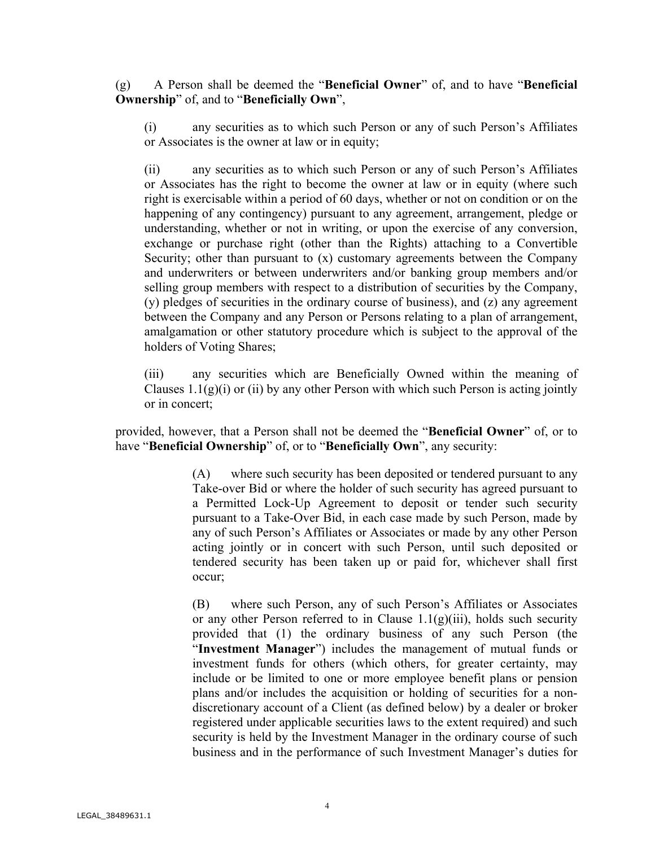(g) A Person shall be deemed the "**Beneficial Owner**" of, and to have "**Beneficial Ownership**" of, and to "**Beneficially Own**",

(i) any securities as to which such Person or any of such Person's Affiliates or Associates is the owner at law or in equity;

(ii) any securities as to which such Person or any of such Person's Affiliates or Associates has the right to become the owner at law or in equity (where such right is exercisable within a period of 60 days, whether or not on condition or on the happening of any contingency) pursuant to any agreement, arrangement, pledge or understanding, whether or not in writing, or upon the exercise of any conversion, exchange or purchase right (other than the Rights) attaching to a Convertible Security; other than pursuant to (x) customary agreements between the Company and underwriters or between underwriters and/or banking group members and/or selling group members with respect to a distribution of securities by the Company, (y) pledges of securities in the ordinary course of business), and (z) any agreement between the Company and any Person or Persons relating to a plan of arrangement, amalgamation or other statutory procedure which is subject to the approval of the holders of Voting Shares;

(iii) any securities which are Beneficially Owned within the meaning of Clauses  $1.1(g)(i)$  or (ii) by any other Person with which such Person is acting jointly or in concert;

provided, however, that a Person shall not be deemed the "**Beneficial Owner**" of, or to have "**Beneficial Ownership**" of, or to "**Beneficially Own**", any security:

> (A) where such security has been deposited or tendered pursuant to any Take-over Bid or where the holder of such security has agreed pursuant to a Permitted Lock-Up Agreement to deposit or tender such security pursuant to a Take-Over Bid, in each case made by such Person, made by any of such Person's Affiliates or Associates or made by any other Person acting jointly or in concert with such Person, until such deposited or tendered security has been taken up or paid for, whichever shall first occur;

> (B) where such Person, any of such Person's Affiliates or Associates or any other Person referred to in Clause  $1.1(g)(iii)$ , holds such security provided that (1) the ordinary business of any such Person (the "**Investment Manager**") includes the management of mutual funds or investment funds for others (which others, for greater certainty, may include or be limited to one or more employee benefit plans or pension plans and/or includes the acquisition or holding of securities for a nondiscretionary account of a Client (as defined below) by a dealer or broker registered under applicable securities laws to the extent required) and such security is held by the Investment Manager in the ordinary course of such business and in the performance of such Investment Manager's duties for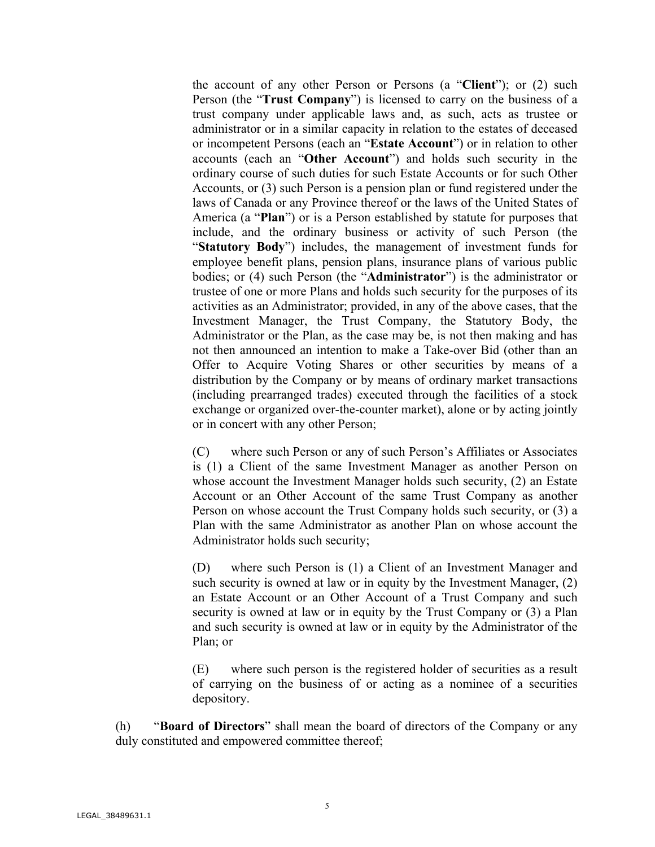the account of any other Person or Persons (a "**Client**"); or (2) such Person (the "**Trust Company**") is licensed to carry on the business of a trust company under applicable laws and, as such, acts as trustee or administrator or in a similar capacity in relation to the estates of deceased or incompetent Persons (each an "**Estate Account**") or in relation to other accounts (each an "**Other Account**") and holds such security in the ordinary course of such duties for such Estate Accounts or for such Other Accounts, or (3) such Person is a pension plan or fund registered under the laws of Canada or any Province thereof or the laws of the United States of America (a "**Plan**") or is a Person established by statute for purposes that include, and the ordinary business or activity of such Person (the "**Statutory Body**") includes, the management of investment funds for employee benefit plans, pension plans, insurance plans of various public bodies; or (4) such Person (the "**Administrator**") is the administrator or trustee of one or more Plans and holds such security for the purposes of its activities as an Administrator; provided, in any of the above cases, that the Investment Manager, the Trust Company, the Statutory Body, the Administrator or the Plan, as the case may be, is not then making and has not then announced an intention to make a Take-over Bid (other than an Offer to Acquire Voting Shares or other securities by means of a distribution by the Company or by means of ordinary market transactions (including prearranged trades) executed through the facilities of a stock exchange or organized over-the-counter market), alone or by acting jointly or in concert with any other Person;

(C) where such Person or any of such Person's Affiliates or Associates is (1) a Client of the same Investment Manager as another Person on whose account the Investment Manager holds such security, (2) an Estate Account or an Other Account of the same Trust Company as another Person on whose account the Trust Company holds such security, or (3) a Plan with the same Administrator as another Plan on whose account the Administrator holds such security;

(D) where such Person is (1) a Client of an Investment Manager and such security is owned at law or in equity by the Investment Manager, (2) an Estate Account or an Other Account of a Trust Company and such security is owned at law or in equity by the Trust Company or (3) a Plan and such security is owned at law or in equity by the Administrator of the Plan; or

(E) where such person is the registered holder of securities as a result of carrying on the business of or acting as a nominee of a securities depository.

(h) "**Board of Directors**" shall mean the board of directors of the Company or any duly constituted and empowered committee thereof;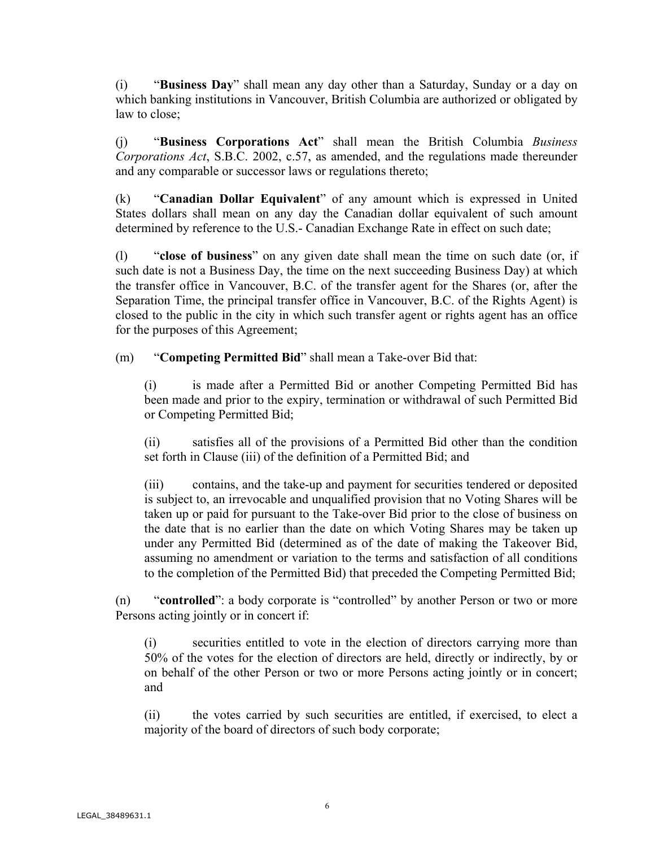(i) "**Business Day**" shall mean any day other than a Saturday, Sunday or a day on which banking institutions in Vancouver, British Columbia are authorized or obligated by law to close;

(j) "**Business Corporations Act**" shall mean the British Columbia *Business Corporations Act*, S.B.C. 2002, c.57, as amended, and the regulations made thereunder and any comparable or successor laws or regulations thereto;

(k) "**Canadian Dollar Equivalent**" of any amount which is expressed in United States dollars shall mean on any day the Canadian dollar equivalent of such amount determined by reference to the U.S.- Canadian Exchange Rate in effect on such date;

(l) "**close of business**" on any given date shall mean the time on such date (or, if such date is not a Business Day, the time on the next succeeding Business Day) at which the transfer office in Vancouver, B.C. of the transfer agent for the Shares (or, after the Separation Time, the principal transfer office in Vancouver, B.C. of the Rights Agent) is closed to the public in the city in which such transfer agent or rights agent has an office for the purposes of this Agreement;

(m) "**Competing Permitted Bid**" shall mean a Take-over Bid that:

(i) is made after a Permitted Bid or another Competing Permitted Bid has been made and prior to the expiry, termination or withdrawal of such Permitted Bid or Competing Permitted Bid;

(ii) satisfies all of the provisions of a Permitted Bid other than the condition set forth in Clause (iii) of the definition of a Permitted Bid; and

(iii) contains, and the take-up and payment for securities tendered or deposited is subject to, an irrevocable and unqualified provision that no Voting Shares will be taken up or paid for pursuant to the Take-over Bid prior to the close of business on the date that is no earlier than the date on which Voting Shares may be taken up under any Permitted Bid (determined as of the date of making the Takeover Bid, assuming no amendment or variation to the terms and satisfaction of all conditions to the completion of the Permitted Bid) that preceded the Competing Permitted Bid;

(n) "**controlled**": a body corporate is "controlled" by another Person or two or more Persons acting jointly or in concert if:

(i) securities entitled to vote in the election of directors carrying more than 50% of the votes for the election of directors are held, directly or indirectly, by or on behalf of the other Person or two or more Persons acting jointly or in concert; and

(ii) the votes carried by such securities are entitled, if exercised, to elect a majority of the board of directors of such body corporate;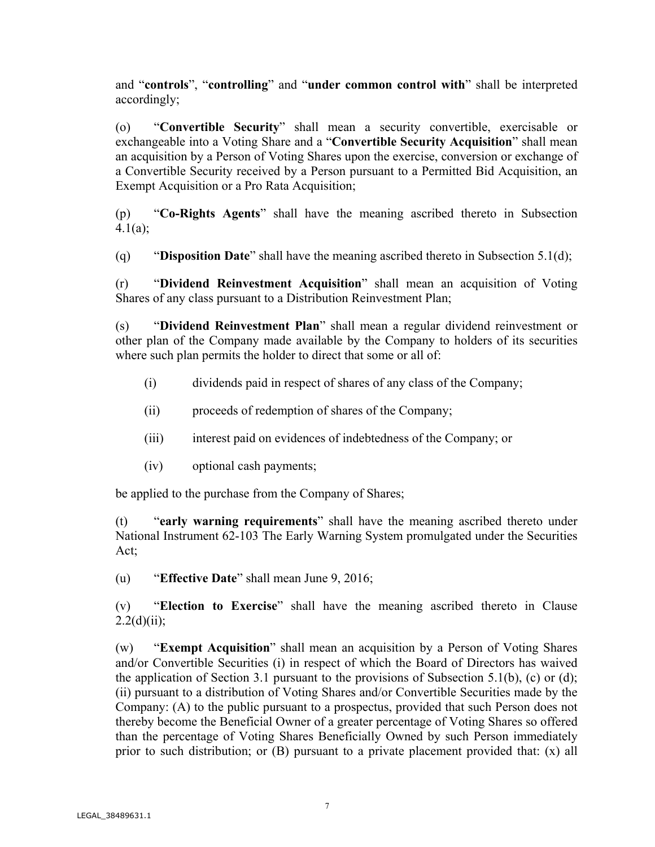and "**controls**", "**controlling**" and "**under common control with**" shall be interpreted accordingly;

(o) "**Convertible Security**" shall mean a security convertible, exercisable or exchangeable into a Voting Share and a "**Convertible Security Acquisition**" shall mean an acquisition by a Person of Voting Shares upon the exercise, conversion or exchange of a Convertible Security received by a Person pursuant to a Permitted Bid Acquisition, an Exempt Acquisition or a Pro Rata Acquisition;

(p) "**Co-Rights Agents**" shall have the meaning ascribed thereto in Subsection 4.1(a);

(q) "**Disposition Date**" shall have the meaning ascribed thereto in Subsection 5.1(d);

(r) "**Dividend Reinvestment Acquisition**" shall mean an acquisition of Voting Shares of any class pursuant to a Distribution Reinvestment Plan;

(s) "**Dividend Reinvestment Plan**" shall mean a regular dividend reinvestment or other plan of the Company made available by the Company to holders of its securities where such plan permits the holder to direct that some or all of:

- (i) dividends paid in respect of shares of any class of the Company;
- (ii) proceeds of redemption of shares of the Company;
- (iii) interest paid on evidences of indebtedness of the Company; or
- (iv) optional cash payments;

be applied to the purchase from the Company of Shares;

(t) "**early warning requirements**" shall have the meaning ascribed thereto under National Instrument 62-103 The Early Warning System promulgated under the Securities Act;

(u) "**Effective Date**" shall mean June 9, 2016;

(v) "**Election to Exercise**" shall have the meaning ascribed thereto in Clause  $2.2(d)(ii);$ 

(w) "**Exempt Acquisition**" shall mean an acquisition by a Person of Voting Shares and/or Convertible Securities (i) in respect of which the Board of Directors has waived the application of Section 3.1 pursuant to the provisions of Subsection 5.1(b), (c) or (d); (ii) pursuant to a distribution of Voting Shares and/or Convertible Securities made by the Company: (A) to the public pursuant to a prospectus, provided that such Person does not thereby become the Beneficial Owner of a greater percentage of Voting Shares so offered than the percentage of Voting Shares Beneficially Owned by such Person immediately prior to such distribution; or (B) pursuant to a private placement provided that: (x) all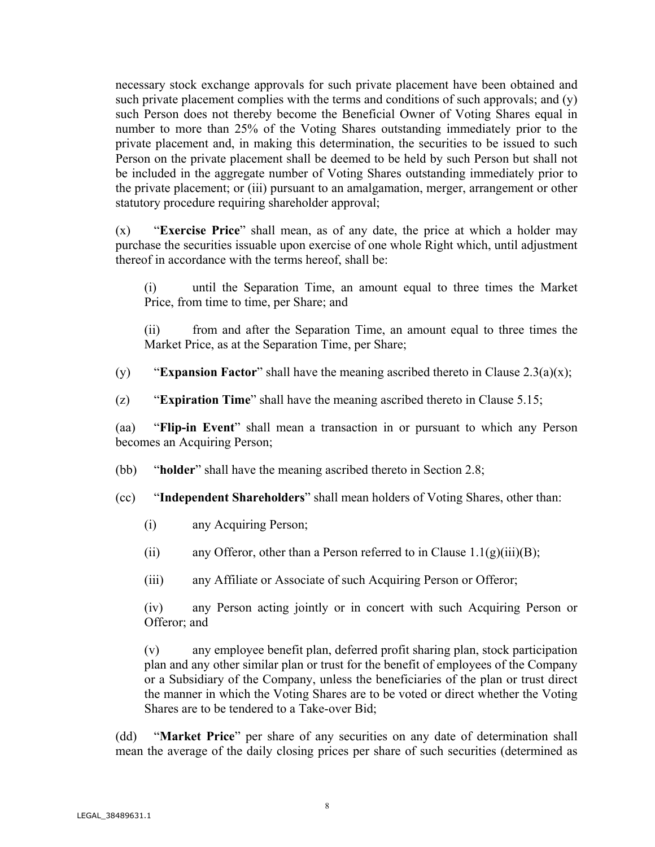necessary stock exchange approvals for such private placement have been obtained and such private placement complies with the terms and conditions of such approvals; and (y) such Person does not thereby become the Beneficial Owner of Voting Shares equal in number to more than 25% of the Voting Shares outstanding immediately prior to the private placement and, in making this determination, the securities to be issued to such Person on the private placement shall be deemed to be held by such Person but shall not be included in the aggregate number of Voting Shares outstanding immediately prior to the private placement; or (iii) pursuant to an amalgamation, merger, arrangement or other statutory procedure requiring shareholder approval;

(x) "**Exercise Price**" shall mean, as of any date, the price at which a holder may purchase the securities issuable upon exercise of one whole Right which, until adjustment thereof in accordance with the terms hereof, shall be:

(i) until the Separation Time, an amount equal to three times the Market Price, from time to time, per Share; and

(ii) from and after the Separation Time, an amount equal to three times the Market Price, as at the Separation Time, per Share;

(y) "**Expansion Factor**" shall have the meaning ascribed thereto in Clause 2.3(a)(x);

(z) "**Expiration Time**" shall have the meaning ascribed thereto in Clause 5.15;

(aa) "**Flip-in Event**" shall mean a transaction in or pursuant to which any Person becomes an Acquiring Person;

(bb) "**holder**" shall have the meaning ascribed thereto in Section 2.8;

(cc) "**Independent Shareholders**" shall mean holders of Voting Shares, other than:

- (i) any Acquiring Person;
- (ii) any Offeror, other than a Person referred to in Clause  $1.1(g)(iii)(B)$ ;
- (iii) any Affiliate or Associate of such Acquiring Person or Offeror;

(iv) any Person acting jointly or in concert with such Acquiring Person or Offeror; and

(v) any employee benefit plan, deferred profit sharing plan, stock participation plan and any other similar plan or trust for the benefit of employees of the Company or a Subsidiary of the Company, unless the beneficiaries of the plan or trust direct the manner in which the Voting Shares are to be voted or direct whether the Voting Shares are to be tendered to a Take-over Bid;

(dd) "**Market Price**" per share of any securities on any date of determination shall mean the average of the daily closing prices per share of such securities (determined as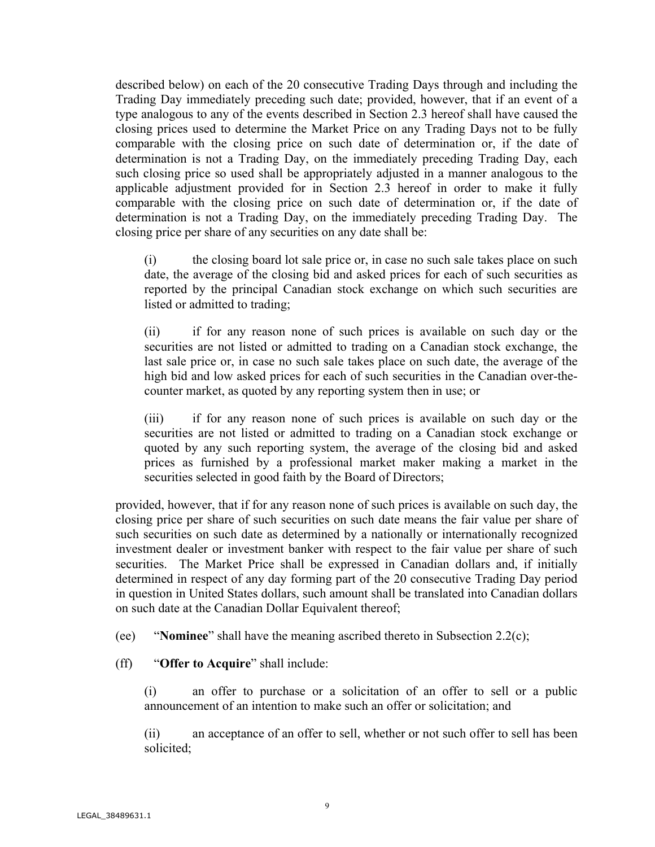described below) on each of the 20 consecutive Trading Days through and including the Trading Day immediately preceding such date; provided, however, that if an event of a type analogous to any of the events described in Section 2.3 hereof shall have caused the closing prices used to determine the Market Price on any Trading Days not to be fully comparable with the closing price on such date of determination or, if the date of determination is not a Trading Day, on the immediately preceding Trading Day, each such closing price so used shall be appropriately adjusted in a manner analogous to the applicable adjustment provided for in Section 2.3 hereof in order to make it fully comparable with the closing price on such date of determination or, if the date of determination is not a Trading Day, on the immediately preceding Trading Day. The closing price per share of any securities on any date shall be:

(i) the closing board lot sale price or, in case no such sale takes place on such date, the average of the closing bid and asked prices for each of such securities as reported by the principal Canadian stock exchange on which such securities are listed or admitted to trading;

(ii) if for any reason none of such prices is available on such day or the securities are not listed or admitted to trading on a Canadian stock exchange, the last sale price or, in case no such sale takes place on such date, the average of the high bid and low asked prices for each of such securities in the Canadian over-thecounter market, as quoted by any reporting system then in use; or

(iii) if for any reason none of such prices is available on such day or the securities are not listed or admitted to trading on a Canadian stock exchange or quoted by any such reporting system, the average of the closing bid and asked prices as furnished by a professional market maker making a market in the securities selected in good faith by the Board of Directors;

provided, however, that if for any reason none of such prices is available on such day, the closing price per share of such securities on such date means the fair value per share of such securities on such date as determined by a nationally or internationally recognized investment dealer or investment banker with respect to the fair value per share of such securities. The Market Price shall be expressed in Canadian dollars and, if initially determined in respect of any day forming part of the 20 consecutive Trading Day period in question in United States dollars, such amount shall be translated into Canadian dollars on such date at the Canadian Dollar Equivalent thereof;

(ee) "**Nominee**" shall have the meaning ascribed thereto in Subsection 2.2(c);

(ff) "**Offer to Acquire**" shall include:

(i) an offer to purchase or a solicitation of an offer to sell or a public announcement of an intention to make such an offer or solicitation; and

(ii) an acceptance of an offer to sell, whether or not such offer to sell has been solicited;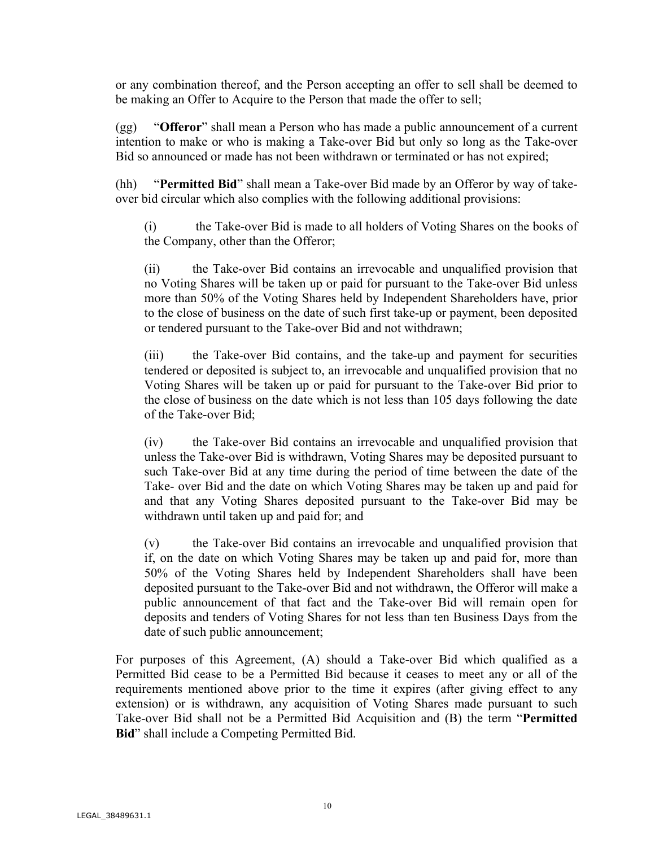or any combination thereof, and the Person accepting an offer to sell shall be deemed to be making an Offer to Acquire to the Person that made the offer to sell;

(gg) "**Offeror**" shall mean a Person who has made a public announcement of a current intention to make or who is making a Take-over Bid but only so long as the Take-over Bid so announced or made has not been withdrawn or terminated or has not expired;

(hh) "**Permitted Bid**" shall mean a Take-over Bid made by an Offeror by way of takeover bid circular which also complies with the following additional provisions:

(i) the Take-over Bid is made to all holders of Voting Shares on the books of the Company, other than the Offeror;

(ii) the Take-over Bid contains an irrevocable and unqualified provision that no Voting Shares will be taken up or paid for pursuant to the Take-over Bid unless more than 50% of the Voting Shares held by Independent Shareholders have, prior to the close of business on the date of such first take-up or payment, been deposited or tendered pursuant to the Take-over Bid and not withdrawn;

(iii) the Take-over Bid contains, and the take-up and payment for securities tendered or deposited is subject to, an irrevocable and unqualified provision that no Voting Shares will be taken up or paid for pursuant to the Take-over Bid prior to the close of business on the date which is not less than 105 days following the date of the Take-over Bid;

(iv) the Take-over Bid contains an irrevocable and unqualified provision that unless the Take-over Bid is withdrawn, Voting Shares may be deposited pursuant to such Take-over Bid at any time during the period of time between the date of the Take- over Bid and the date on which Voting Shares may be taken up and paid for and that any Voting Shares deposited pursuant to the Take-over Bid may be withdrawn until taken up and paid for; and

(v) the Take-over Bid contains an irrevocable and unqualified provision that if, on the date on which Voting Shares may be taken up and paid for, more than 50% of the Voting Shares held by Independent Shareholders shall have been deposited pursuant to the Take-over Bid and not withdrawn, the Offeror will make a public announcement of that fact and the Take-over Bid will remain open for deposits and tenders of Voting Shares for not less than ten Business Days from the date of such public announcement;

For purposes of this Agreement, (A) should a Take-over Bid which qualified as a Permitted Bid cease to be a Permitted Bid because it ceases to meet any or all of the requirements mentioned above prior to the time it expires (after giving effect to any extension) or is withdrawn, any acquisition of Voting Shares made pursuant to such Take-over Bid shall not be a Permitted Bid Acquisition and (B) the term "**Permitted Bid**" shall include a Competing Permitted Bid.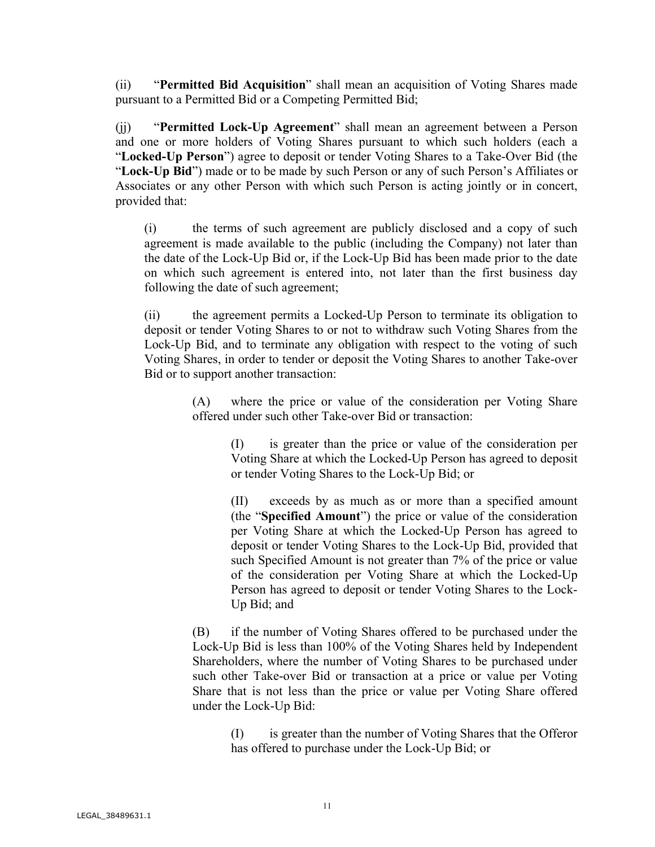(ii) "**Permitted Bid Acquisition**" shall mean an acquisition of Voting Shares made pursuant to a Permitted Bid or a Competing Permitted Bid;

(jj) "**Permitted Lock-Up Agreement**" shall mean an agreement between a Person and one or more holders of Voting Shares pursuant to which such holders (each a "**Locked-Up Person**") agree to deposit or tender Voting Shares to a Take-Over Bid (the "**Lock-Up Bid**") made or to be made by such Person or any of such Person's Affiliates or Associates or any other Person with which such Person is acting jointly or in concert, provided that:

(i) the terms of such agreement are publicly disclosed and a copy of such agreement is made available to the public (including the Company) not later than the date of the Lock-Up Bid or, if the Lock-Up Bid has been made prior to the date on which such agreement is entered into, not later than the first business day following the date of such agreement;

(ii) the agreement permits a Locked-Up Person to terminate its obligation to deposit or tender Voting Shares to or not to withdraw such Voting Shares from the Lock-Up Bid, and to terminate any obligation with respect to the voting of such Voting Shares, in order to tender or deposit the Voting Shares to another Take-over Bid or to support another transaction:

> (A) where the price or value of the consideration per Voting Share offered under such other Take-over Bid or transaction:

(I) is greater than the price or value of the consideration per Voting Share at which the Locked-Up Person has agreed to deposit or tender Voting Shares to the Lock-Up Bid; or

(II) exceeds by as much as or more than a specified amount (the "**Specified Amount**") the price or value of the consideration per Voting Share at which the Locked-Up Person has agreed to deposit or tender Voting Shares to the Lock-Up Bid, provided that such Specified Amount is not greater than 7% of the price or value of the consideration per Voting Share at which the Locked-Up Person has agreed to deposit or tender Voting Shares to the Lock-Up Bid; and

(B) if the number of Voting Shares offered to be purchased under the Lock-Up Bid is less than 100% of the Voting Shares held by Independent Shareholders, where the number of Voting Shares to be purchased under such other Take-over Bid or transaction at a price or value per Voting Share that is not less than the price or value per Voting Share offered under the Lock-Up Bid:

(I) is greater than the number of Voting Shares that the Offeror has offered to purchase under the Lock-Up Bid; or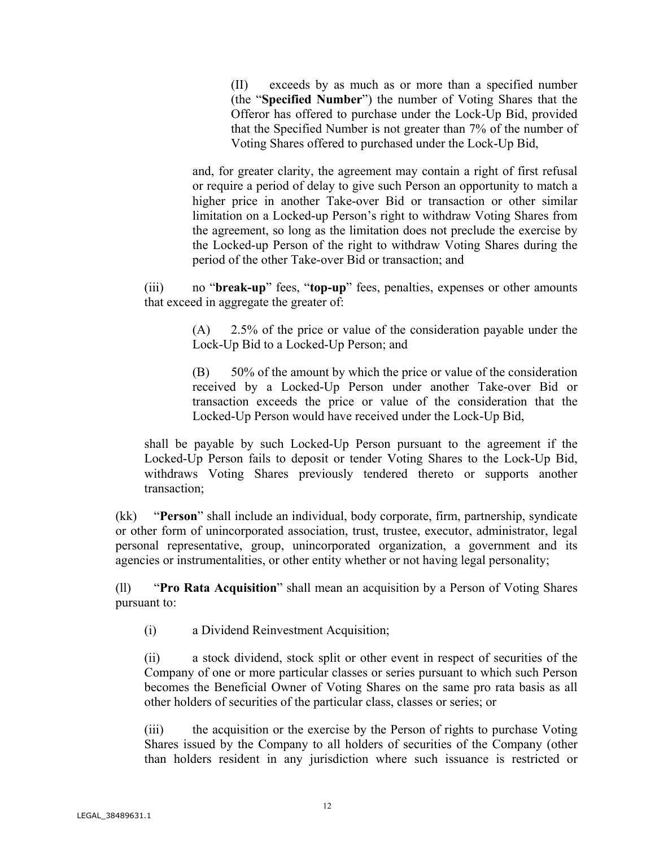(II) exceeds by as much as or more than a specified number (the "**Specified Number**") the number of Voting Shares that the Offeror has offered to purchase under the Lock-Up Bid, provided that the Specified Number is not greater than 7% of the number of Voting Shares offered to purchased under the Lock-Up Bid,

and, for greater clarity, the agreement may contain a right of first refusal or require a period of delay to give such Person an opportunity to match a higher price in another Take-over Bid or transaction or other similar limitation on a Locked-up Person's right to withdraw Voting Shares from the agreement, so long as the limitation does not preclude the exercise by the Locked-up Person of the right to withdraw Voting Shares during the period of the other Take-over Bid or transaction; and

(iii) no "**break-up**" fees, "**top-up**" fees, penalties, expenses or other amounts that exceed in aggregate the greater of:

> (A) 2.5% of the price or value of the consideration payable under the Lock-Up Bid to a Locked-Up Person; and

> (B) 50% of the amount by which the price or value of the consideration received by a Locked-Up Person under another Take-over Bid or transaction exceeds the price or value of the consideration that the Locked-Up Person would have received under the Lock-Up Bid,

shall be payable by such Locked-Up Person pursuant to the agreement if the Locked-Up Person fails to deposit or tender Voting Shares to the Lock-Up Bid, withdraws Voting Shares previously tendered thereto or supports another transaction;

(kk) "**Person**" shall include an individual, body corporate, firm, partnership, syndicate or other form of unincorporated association, trust, trustee, executor, administrator, legal personal representative, group, unincorporated organization, a government and its agencies or instrumentalities, or other entity whether or not having legal personality;

(ll) "**Pro Rata Acquisition**" shall mean an acquisition by a Person of Voting Shares pursuant to:

(i) a Dividend Reinvestment Acquisition;

(ii) a stock dividend, stock split or other event in respect of securities of the Company of one or more particular classes or series pursuant to which such Person becomes the Beneficial Owner of Voting Shares on the same pro rata basis as all other holders of securities of the particular class, classes or series; or

(iii) the acquisition or the exercise by the Person of rights to purchase Voting Shares issued by the Company to all holders of securities of the Company (other than holders resident in any jurisdiction where such issuance is restricted or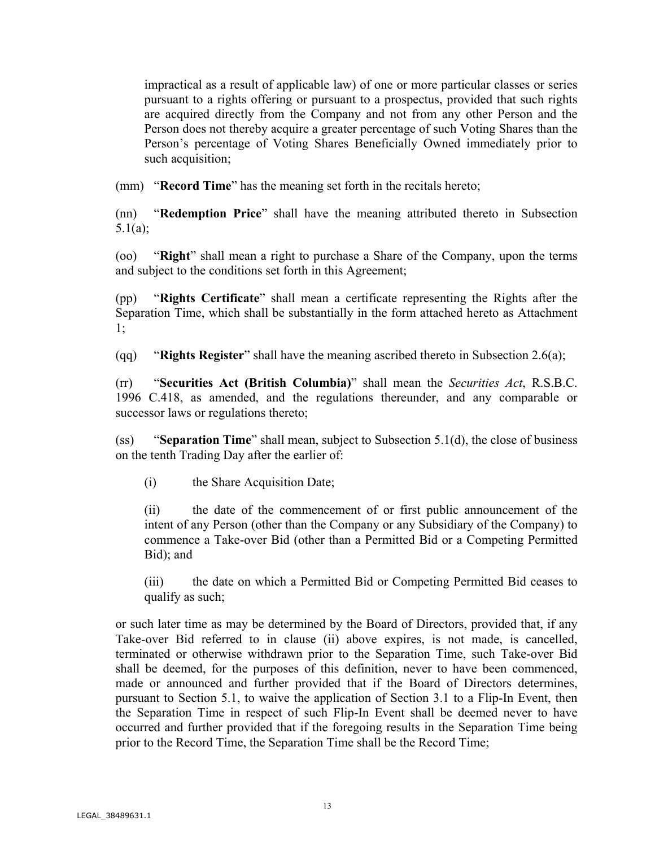impractical as a result of applicable law) of one or more particular classes or series pursuant to a rights offering or pursuant to a prospectus, provided that such rights are acquired directly from the Company and not from any other Person and the Person does not thereby acquire a greater percentage of such Voting Shares than the Person's percentage of Voting Shares Beneficially Owned immediately prior to such acquisition;

(mm) "**Record Time**" has the meaning set forth in the recitals hereto;

(nn) "**Redemption Price**" shall have the meaning attributed thereto in Subsection 5.1(a);

(oo) "**Right**" shall mean a right to purchase a Share of the Company, upon the terms and subject to the conditions set forth in this Agreement;

(pp) "**Rights Certificate**" shall mean a certificate representing the Rights after the Separation Time, which shall be substantially in the form attached hereto as Attachment 1;

(qq) "**Rights Register**" shall have the meaning ascribed thereto in Subsection 2.6(a);

(rr) "**Securities Act (British Columbia)**" shall mean the *Securities Act*, R.S.B.C. 1996 C.418, as amended, and the regulations thereunder, and any comparable or successor laws or regulations thereto;

(ss) "**Separation Time**" shall mean, subject to Subsection 5.1(d), the close of business on the tenth Trading Day after the earlier of:

(i) the Share Acquisition Date;

(ii) the date of the commencement of or first public announcement of the intent of any Person (other than the Company or any Subsidiary of the Company) to commence a Take-over Bid (other than a Permitted Bid or a Competing Permitted Bid); and

(iii) the date on which a Permitted Bid or Competing Permitted Bid ceases to qualify as such;

or such later time as may be determined by the Board of Directors, provided that, if any Take-over Bid referred to in clause (ii) above expires, is not made, is cancelled, terminated or otherwise withdrawn prior to the Separation Time, such Take-over Bid shall be deemed, for the purposes of this definition, never to have been commenced, made or announced and further provided that if the Board of Directors determines, pursuant to Section 5.1, to waive the application of Section 3.1 to a Flip-In Event, then the Separation Time in respect of such Flip-In Event shall be deemed never to have occurred and further provided that if the foregoing results in the Separation Time being prior to the Record Time, the Separation Time shall be the Record Time;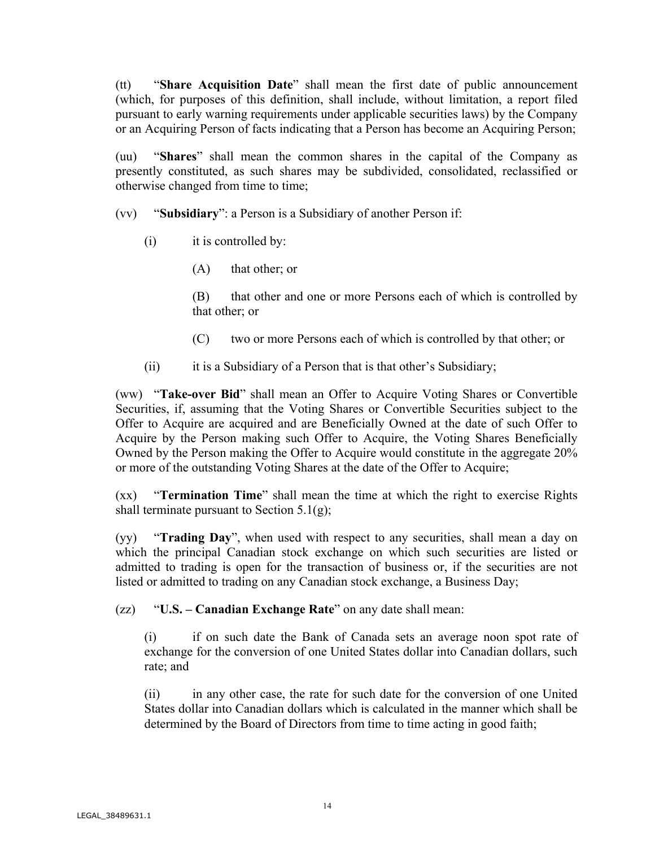(tt) "**Share Acquisition Date**" shall mean the first date of public announcement (which, for purposes of this definition, shall include, without limitation, a report filed pursuant to early warning requirements under applicable securities laws) by the Company or an Acquiring Person of facts indicating that a Person has become an Acquiring Person;

(uu) "**Shares**" shall mean the common shares in the capital of the Company as presently constituted, as such shares may be subdivided, consolidated, reclassified or otherwise changed from time to time;

(vv) "**Subsidiary**": a Person is a Subsidiary of another Person if:

- (i) it is controlled by:
	- (A) that other; or

(B) that other and one or more Persons each of which is controlled by that other; or

- (C) two or more Persons each of which is controlled by that other; or
- (ii) it is a Subsidiary of a Person that is that other's Subsidiary;

(ww) "**Take-over Bid**" shall mean an Offer to Acquire Voting Shares or Convertible Securities, if, assuming that the Voting Shares or Convertible Securities subject to the Offer to Acquire are acquired and are Beneficially Owned at the date of such Offer to Acquire by the Person making such Offer to Acquire, the Voting Shares Beneficially Owned by the Person making the Offer to Acquire would constitute in the aggregate 20% or more of the outstanding Voting Shares at the date of the Offer to Acquire;

(xx) "**Termination Time**" shall mean the time at which the right to exercise Rights shall terminate pursuant to Section  $5.1(g)$ ;

(yy) "**Trading Day**", when used with respect to any securities, shall mean a day on which the principal Canadian stock exchange on which such securities are listed or admitted to trading is open for the transaction of business or, if the securities are not listed or admitted to trading on any Canadian stock exchange, a Business Day;

(zz) "**U.S. – Canadian Exchange Rate**" on any date shall mean:

(i) if on such date the Bank of Canada sets an average noon spot rate of exchange for the conversion of one United States dollar into Canadian dollars, such rate; and

(ii) in any other case, the rate for such date for the conversion of one United States dollar into Canadian dollars which is calculated in the manner which shall be determined by the Board of Directors from time to time acting in good faith;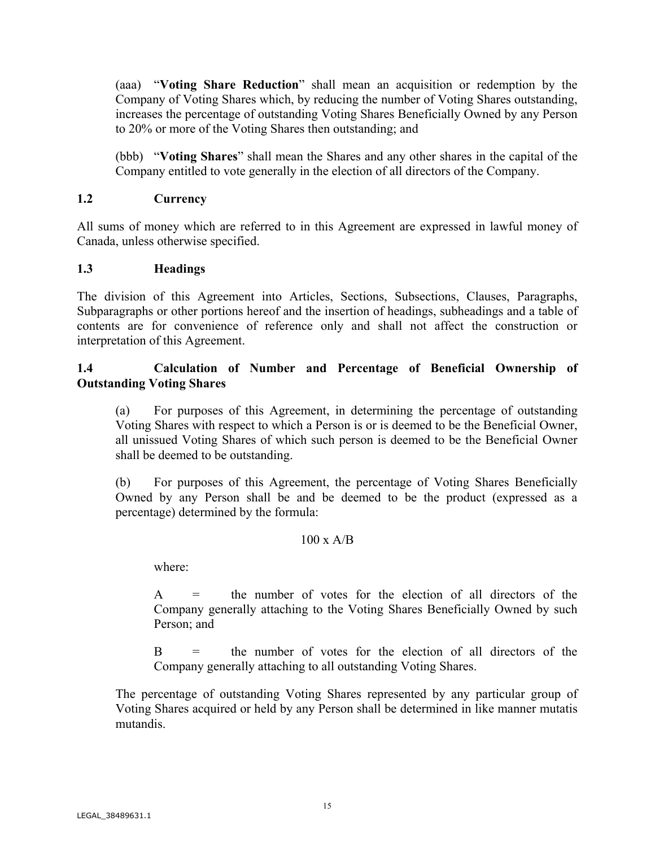(aaa) "**Voting Share Reduction**" shall mean an acquisition or redemption by the Company of Voting Shares which, by reducing the number of Voting Shares outstanding, increases the percentage of outstanding Voting Shares Beneficially Owned by any Person to 20% or more of the Voting Shares then outstanding; and

(bbb) "**Voting Shares**" shall mean the Shares and any other shares in the capital of the Company entitled to vote generally in the election of all directors of the Company.

## **1.2 Currency**

All sums of money which are referred to in this Agreement are expressed in lawful money of Canada, unless otherwise specified.

## **1.3 Headings**

The division of this Agreement into Articles, Sections, Subsections, Clauses, Paragraphs, Subparagraphs or other portions hereof and the insertion of headings, subheadings and a table of contents are for convenience of reference only and shall not affect the construction or interpretation of this Agreement.

## **1.4 Calculation of Number and Percentage of Beneficial Ownership of Outstanding Voting Shares**

(a) For purposes of this Agreement, in determining the percentage of outstanding Voting Shares with respect to which a Person is or is deemed to be the Beneficial Owner, all unissued Voting Shares of which such person is deemed to be the Beneficial Owner shall be deemed to be outstanding.

(b) For purposes of this Agreement, the percentage of Voting Shares Beneficially Owned by any Person shall be and be deemed to be the product (expressed as a percentage) determined by the formula:

### $100 \times A/B$

where:

A = the number of votes for the election of all directors of the Company generally attaching to the Voting Shares Beneficially Owned by such Person; and

B = the number of votes for the election of all directors of the Company generally attaching to all outstanding Voting Shares.

The percentage of outstanding Voting Shares represented by any particular group of Voting Shares acquired or held by any Person shall be determined in like manner mutatis mutandis.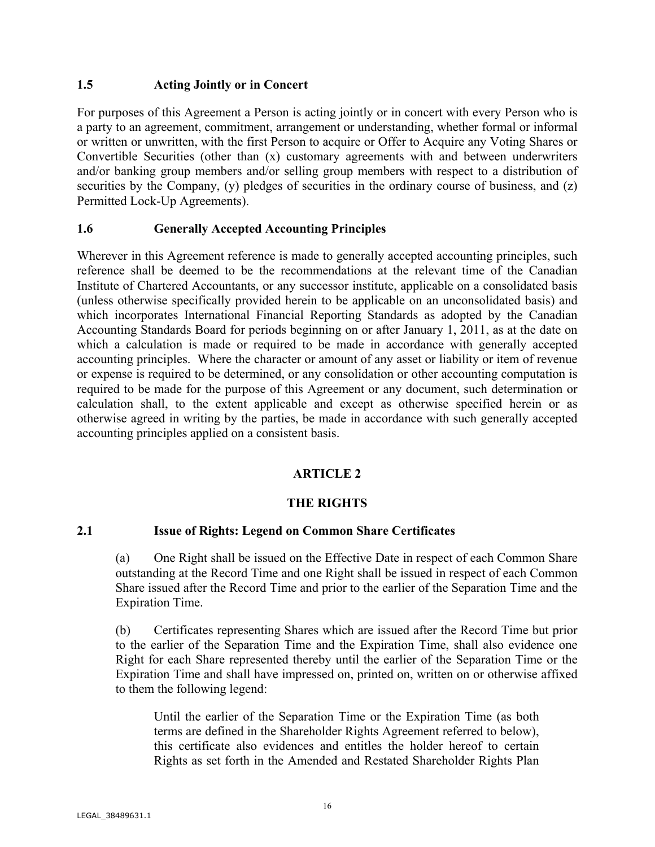### **1.5 Acting Jointly or in Concert**

For purposes of this Agreement a Person is acting jointly or in concert with every Person who is a party to an agreement, commitment, arrangement or understanding, whether formal or informal or written or unwritten, with the first Person to acquire or Offer to Acquire any Voting Shares or Convertible Securities (other than (x) customary agreements with and between underwriters and/or banking group members and/or selling group members with respect to a distribution of securities by the Company, (y) pledges of securities in the ordinary course of business, and (z) Permitted Lock-Up Agreements).

## **1.6 Generally Accepted Accounting Principles**

Wherever in this Agreement reference is made to generally accepted accounting principles, such reference shall be deemed to be the recommendations at the relevant time of the Canadian Institute of Chartered Accountants, or any successor institute, applicable on a consolidated basis (unless otherwise specifically provided herein to be applicable on an unconsolidated basis) and which incorporates International Financial Reporting Standards as adopted by the Canadian Accounting Standards Board for periods beginning on or after January 1, 2011, as at the date on which a calculation is made or required to be made in accordance with generally accepted accounting principles. Where the character or amount of any asset or liability or item of revenue or expense is required to be determined, or any consolidation or other accounting computation is required to be made for the purpose of this Agreement or any document, such determination or calculation shall, to the extent applicable and except as otherwise specified herein or as otherwise agreed in writing by the parties, be made in accordance with such generally accepted accounting principles applied on a consistent basis.

## **ARTICLE 2**

## **THE RIGHTS**

## **2.1 Issue of Rights: Legend on Common Share Certificates**

(a) One Right shall be issued on the Effective Date in respect of each Common Share outstanding at the Record Time and one Right shall be issued in respect of each Common Share issued after the Record Time and prior to the earlier of the Separation Time and the Expiration Time.

(b) Certificates representing Shares which are issued after the Record Time but prior to the earlier of the Separation Time and the Expiration Time, shall also evidence one Right for each Share represented thereby until the earlier of the Separation Time or the Expiration Time and shall have impressed on, printed on, written on or otherwise affixed to them the following legend:

Until the earlier of the Separation Time or the Expiration Time (as both terms are defined in the Shareholder Rights Agreement referred to below), this certificate also evidences and entitles the holder hereof to certain Rights as set forth in the Amended and Restated Shareholder Rights Plan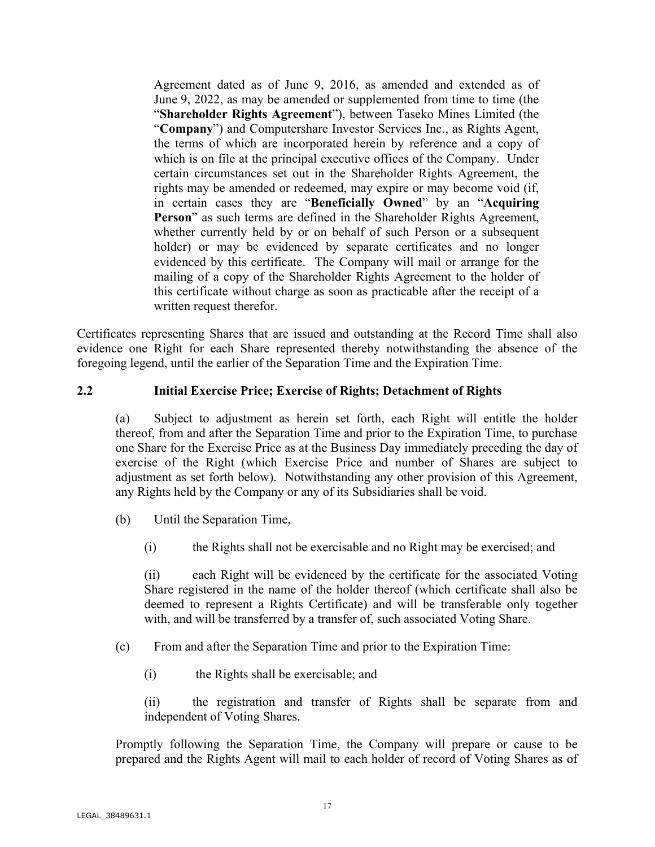Agreement dated as of June 9, 2016, as amended and extended as of June 9, 2022, as may be amended or supplemented from time to time (the "**Shareholder Rights Agreement**"), between Taseko Mines Limited (the "**Company**") and Computershare Investor Services Inc., as Rights Agent, the terms of which are incorporated herein by reference and a copy of which is on file at the principal executive offices of the Company. Under certain circumstances set out in the Shareholder Rights Agreement, the rights may be amended or redeemed, may expire or may become void (if, in certain cases they are "**Beneficially Owned**" by an "**Acquiring Person**" as such terms are defined in the Shareholder Rights Agreement, whether currently held by or on behalf of such Person or a subsequent holder) or may be evidenced by separate certificates and no longer evidenced by this certificate. The Company will mail or arrange for the mailing of a copy of the Shareholder Rights Agreement to the holder of this certificate without charge as soon as practicable after the receipt of a written request therefor.

Certificates representing Shares that are issued and outstanding at the Record Time shall also evidence one Right for each Share represented thereby notwithstanding the absence of the foregoing legend, until the earlier of the Separation Time and the Expiration Time.

### **2.2 Initial Exercise Price; Exercise of Rights; Detachment of Rights**

(a) Subject to adjustment as herein set forth, each Right will entitle the holder thereof, from and after the Separation Time and prior to the Expiration Time, to purchase one Share for the Exercise Price as at the Business Day immediately preceding the day of exercise of the Right (which Exercise Price and number of Shares are subject to adjustment as set forth below). Notwithstanding any other provision of this Agreement, any Rights held by the Company or any of its Subsidiaries shall be void.

- (b) Until the Separation Time,
	- (i) the Rights shall not be exercisable and no Right may be exercised; and

(ii) each Right will be evidenced by the certificate for the associated Voting Share registered in the name of the holder thereof (which certificate shall also be deemed to represent a Rights Certificate) and will be transferable only together with, and will be transferred by a transfer of, such associated Voting Share.

- (c) From and after the Separation Time and prior to the Expiration Time:
	- (i) the Rights shall be exercisable; and

(ii) the registration and transfer of Rights shall be separate from and independent of Voting Shares.

Promptly following the Separation Time, the Company will prepare or cause to be prepared and the Rights Agent will mail to each holder of record of Voting Shares as of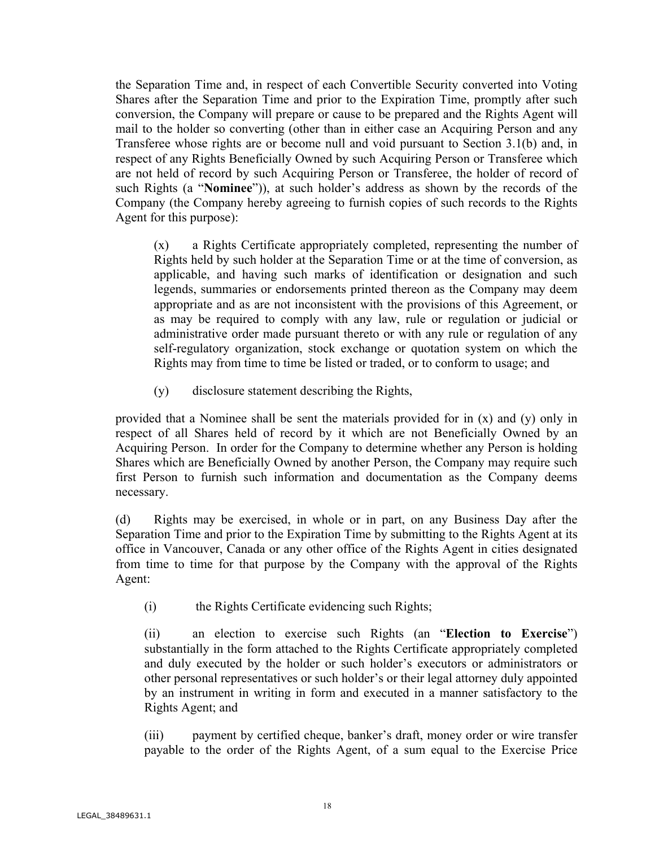the Separation Time and, in respect of each Convertible Security converted into Voting Shares after the Separation Time and prior to the Expiration Time, promptly after such conversion, the Company will prepare or cause to be prepared and the Rights Agent will mail to the holder so converting (other than in either case an Acquiring Person and any Transferee whose rights are or become null and void pursuant to Section 3.1(b) and, in respect of any Rights Beneficially Owned by such Acquiring Person or Transferee which are not held of record by such Acquiring Person or Transferee, the holder of record of such Rights (a "**Nominee**")), at such holder's address as shown by the records of the Company (the Company hereby agreeing to furnish copies of such records to the Rights Agent for this purpose):

(x) a Rights Certificate appropriately completed, representing the number of Rights held by such holder at the Separation Time or at the time of conversion, as applicable, and having such marks of identification or designation and such legends, summaries or endorsements printed thereon as the Company may deem appropriate and as are not inconsistent with the provisions of this Agreement, or as may be required to comply with any law, rule or regulation or judicial or administrative order made pursuant thereto or with any rule or regulation of any self-regulatory organization, stock exchange or quotation system on which the Rights may from time to time be listed or traded, or to conform to usage; and

(y) disclosure statement describing the Rights,

provided that a Nominee shall be sent the materials provided for in  $(x)$  and  $(y)$  only in respect of all Shares held of record by it which are not Beneficially Owned by an Acquiring Person. In order for the Company to determine whether any Person is holding Shares which are Beneficially Owned by another Person, the Company may require such first Person to furnish such information and documentation as the Company deems necessary.

(d) Rights may be exercised, in whole or in part, on any Business Day after the Separation Time and prior to the Expiration Time by submitting to the Rights Agent at its office in Vancouver, Canada or any other office of the Rights Agent in cities designated from time to time for that purpose by the Company with the approval of the Rights Agent:

(i) the Rights Certificate evidencing such Rights;

(ii) an election to exercise such Rights (an "**Election to Exercise**") substantially in the form attached to the Rights Certificate appropriately completed and duly executed by the holder or such holder's executors or administrators or other personal representatives or such holder's or their legal attorney duly appointed by an instrument in writing in form and executed in a manner satisfactory to the Rights Agent; and

(iii) payment by certified cheque, banker's draft, money order or wire transfer payable to the order of the Rights Agent, of a sum equal to the Exercise Price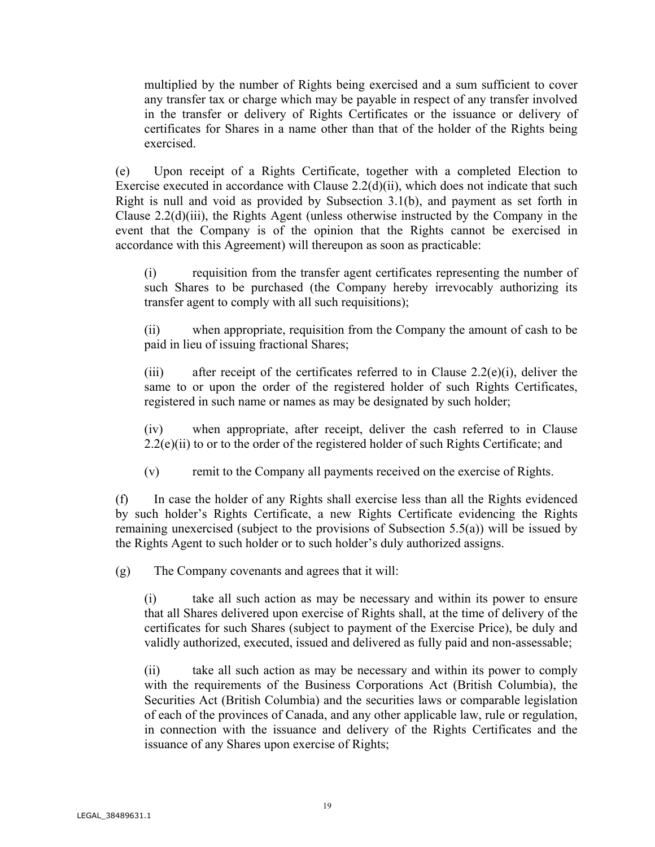multiplied by the number of Rights being exercised and a sum sufficient to cover any transfer tax or charge which may be payable in respect of any transfer involved in the transfer or delivery of Rights Certificates or the issuance or delivery of certificates for Shares in a name other than that of the holder of the Rights being exercised.

(e) Upon receipt of a Rights Certificate, together with a completed Election to Exercise executed in accordance with Clause 2.2(d)(ii), which does not indicate that such Right is null and void as provided by Subsection 3.1(b), and payment as set forth in Clause 2.2(d)(iii), the Rights Agent (unless otherwise instructed by the Company in the event that the Company is of the opinion that the Rights cannot be exercised in accordance with this Agreement) will thereupon as soon as practicable:

(i) requisition from the transfer agent certificates representing the number of such Shares to be purchased (the Company hereby irrevocably authorizing its transfer agent to comply with all such requisitions);

(ii) when appropriate, requisition from the Company the amount of cash to be paid in lieu of issuing fractional Shares;

(iii) after receipt of the certificates referred to in Clause 2.2(e)(i), deliver the same to or upon the order of the registered holder of such Rights Certificates, registered in such name or names as may be designated by such holder;

(iv) when appropriate, after receipt, deliver the cash referred to in Clause  $2.2(e)(ii)$  to or to the order of the registered holder of such Rights Certificate; and

(v) remit to the Company all payments received on the exercise of Rights.

(f) In case the holder of any Rights shall exercise less than all the Rights evidenced by such holder's Rights Certificate, a new Rights Certificate evidencing the Rights remaining unexercised (subject to the provisions of Subsection 5.5(a)) will be issued by the Rights Agent to such holder or to such holder's duly authorized assigns.

(g) The Company covenants and agrees that it will:

(i) take all such action as may be necessary and within its power to ensure that all Shares delivered upon exercise of Rights shall, at the time of delivery of the certificates for such Shares (subject to payment of the Exercise Price), be duly and validly authorized, executed, issued and delivered as fully paid and non-assessable;

(ii) take all such action as may be necessary and within its power to comply with the requirements of the Business Corporations Act (British Columbia), the Securities Act (British Columbia) and the securities laws or comparable legislation of each of the provinces of Canada, and any other applicable law, rule or regulation, in connection with the issuance and delivery of the Rights Certificates and the issuance of any Shares upon exercise of Rights;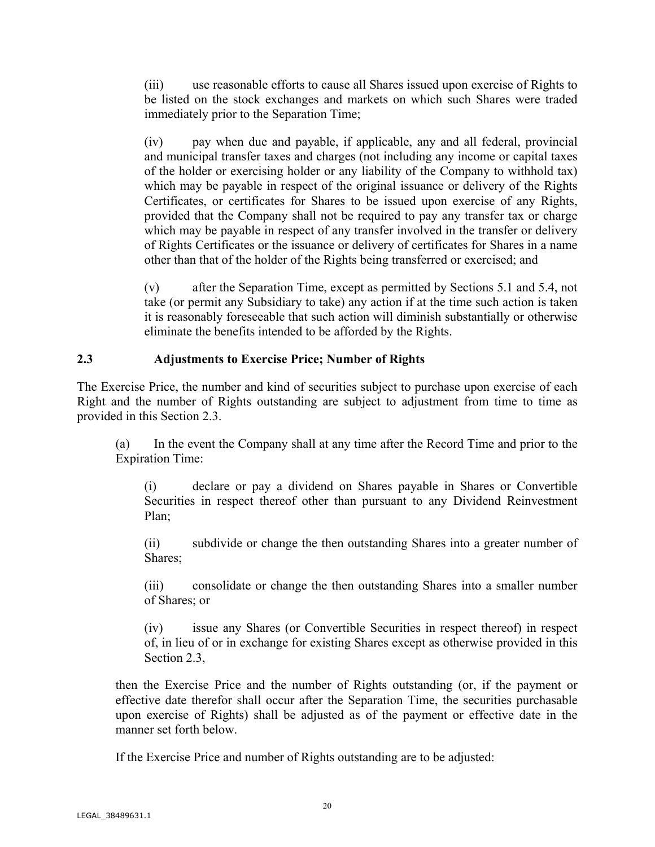(iii) use reasonable efforts to cause all Shares issued upon exercise of Rights to be listed on the stock exchanges and markets on which such Shares were traded immediately prior to the Separation Time;

(iv) pay when due and payable, if applicable, any and all federal, provincial and municipal transfer taxes and charges (not including any income or capital taxes of the holder or exercising holder or any liability of the Company to withhold tax) which may be payable in respect of the original issuance or delivery of the Rights Certificates, or certificates for Shares to be issued upon exercise of any Rights, provided that the Company shall not be required to pay any transfer tax or charge which may be payable in respect of any transfer involved in the transfer or delivery of Rights Certificates or the issuance or delivery of certificates for Shares in a name other than that of the holder of the Rights being transferred or exercised; and

(v) after the Separation Time, except as permitted by Sections 5.1 and 5.4, not take (or permit any Subsidiary to take) any action if at the time such action is taken it is reasonably foreseeable that such action will diminish substantially or otherwise eliminate the benefits intended to be afforded by the Rights.

## **2.3 Adjustments to Exercise Price; Number of Rights**

The Exercise Price, the number and kind of securities subject to purchase upon exercise of each Right and the number of Rights outstanding are subject to adjustment from time to time as provided in this Section 2.3.

(a) In the event the Company shall at any time after the Record Time and prior to the Expiration Time:

(i) declare or pay a dividend on Shares payable in Shares or Convertible Securities in respect thereof other than pursuant to any Dividend Reinvestment Plan;

(ii) subdivide or change the then outstanding Shares into a greater number of Shares;

(iii) consolidate or change the then outstanding Shares into a smaller number of Shares; or

(iv) issue any Shares (or Convertible Securities in respect thereof) in respect of, in lieu of or in exchange for existing Shares except as otherwise provided in this Section 2.3,

then the Exercise Price and the number of Rights outstanding (or, if the payment or effective date therefor shall occur after the Separation Time, the securities purchasable upon exercise of Rights) shall be adjusted as of the payment or effective date in the manner set forth below.

If the Exercise Price and number of Rights outstanding are to be adjusted: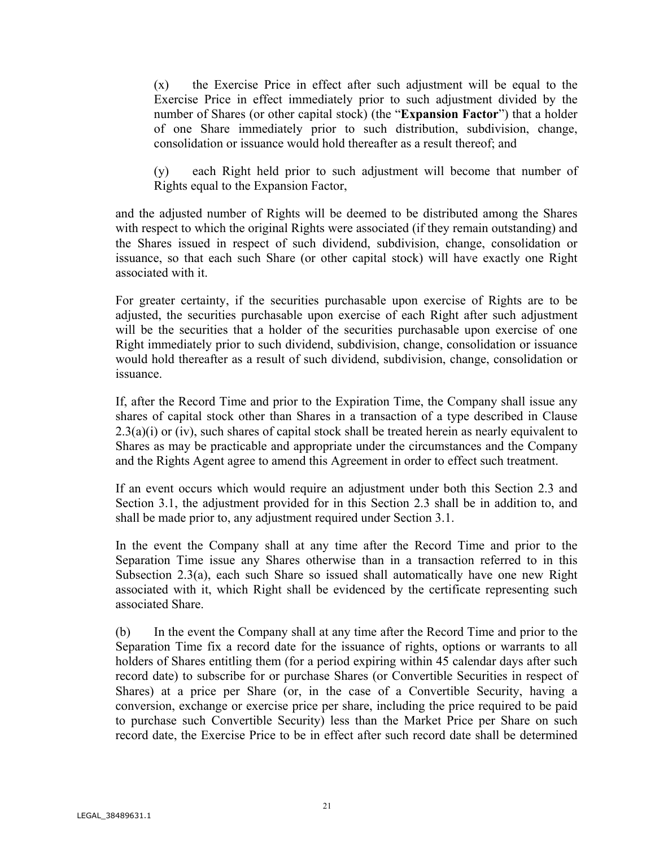(x) the Exercise Price in effect after such adjustment will be equal to the Exercise Price in effect immediately prior to such adjustment divided by the number of Shares (or other capital stock) (the "**Expansion Factor**") that a holder of one Share immediately prior to such distribution, subdivision, change, consolidation or issuance would hold thereafter as a result thereof; and

(y) each Right held prior to such adjustment will become that number of Rights equal to the Expansion Factor,

and the adjusted number of Rights will be deemed to be distributed among the Shares with respect to which the original Rights were associated (if they remain outstanding) and the Shares issued in respect of such dividend, subdivision, change, consolidation or issuance, so that each such Share (or other capital stock) will have exactly one Right associated with it.

For greater certainty, if the securities purchasable upon exercise of Rights are to be adjusted, the securities purchasable upon exercise of each Right after such adjustment will be the securities that a holder of the securities purchasable upon exercise of one Right immediately prior to such dividend, subdivision, change, consolidation or issuance would hold thereafter as a result of such dividend, subdivision, change, consolidation or issuance.

If, after the Record Time and prior to the Expiration Time, the Company shall issue any shares of capital stock other than Shares in a transaction of a type described in Clause  $2.3(a)(i)$  or (iv), such shares of capital stock shall be treated herein as nearly equivalent to Shares as may be practicable and appropriate under the circumstances and the Company and the Rights Agent agree to amend this Agreement in order to effect such treatment.

If an event occurs which would require an adjustment under both this Section 2.3 and Section 3.1, the adjustment provided for in this Section 2.3 shall be in addition to, and shall be made prior to, any adjustment required under Section 3.1.

In the event the Company shall at any time after the Record Time and prior to the Separation Time issue any Shares otherwise than in a transaction referred to in this Subsection 2.3(a), each such Share so issued shall automatically have one new Right associated with it, which Right shall be evidenced by the certificate representing such associated Share.

(b) In the event the Company shall at any time after the Record Time and prior to the Separation Time fix a record date for the issuance of rights, options or warrants to all holders of Shares entitling them (for a period expiring within 45 calendar days after such record date) to subscribe for or purchase Shares (or Convertible Securities in respect of Shares) at a price per Share (or, in the case of a Convertible Security, having a conversion, exchange or exercise price per share, including the price required to be paid to purchase such Convertible Security) less than the Market Price per Share on such record date, the Exercise Price to be in effect after such record date shall be determined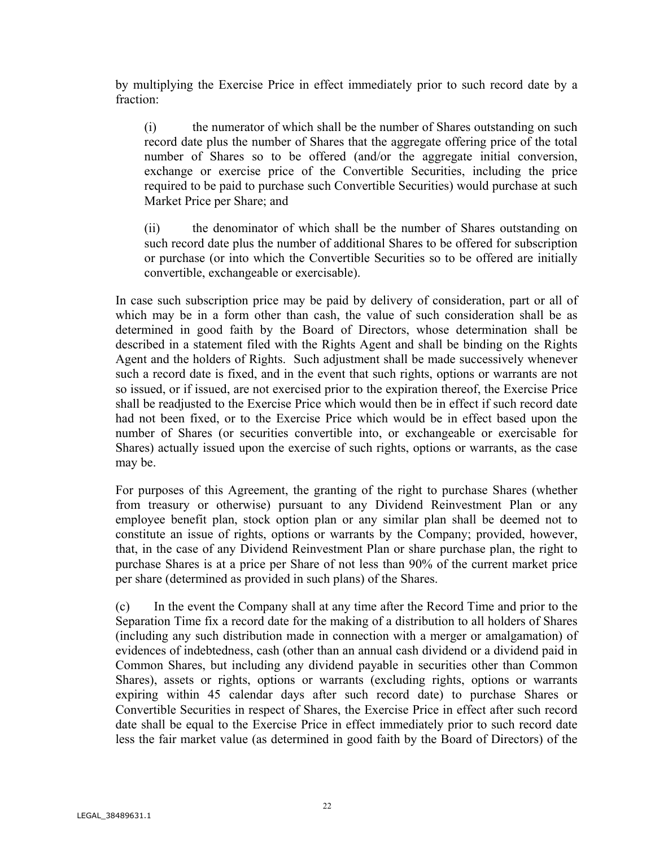by multiplying the Exercise Price in effect immediately prior to such record date by a fraction:

(i) the numerator of which shall be the number of Shares outstanding on such record date plus the number of Shares that the aggregate offering price of the total number of Shares so to be offered (and/or the aggregate initial conversion, exchange or exercise price of the Convertible Securities, including the price required to be paid to purchase such Convertible Securities) would purchase at such Market Price per Share; and

(ii) the denominator of which shall be the number of Shares outstanding on such record date plus the number of additional Shares to be offered for subscription or purchase (or into which the Convertible Securities so to be offered are initially convertible, exchangeable or exercisable).

In case such subscription price may be paid by delivery of consideration, part or all of which may be in a form other than cash, the value of such consideration shall be as determined in good faith by the Board of Directors, whose determination shall be described in a statement filed with the Rights Agent and shall be binding on the Rights Agent and the holders of Rights. Such adjustment shall be made successively whenever such a record date is fixed, and in the event that such rights, options or warrants are not so issued, or if issued, are not exercised prior to the expiration thereof, the Exercise Price shall be readjusted to the Exercise Price which would then be in effect if such record date had not been fixed, or to the Exercise Price which would be in effect based upon the number of Shares (or securities convertible into, or exchangeable or exercisable for Shares) actually issued upon the exercise of such rights, options or warrants, as the case may be.

For purposes of this Agreement, the granting of the right to purchase Shares (whether from treasury or otherwise) pursuant to any Dividend Reinvestment Plan or any employee benefit plan, stock option plan or any similar plan shall be deemed not to constitute an issue of rights, options or warrants by the Company; provided, however, that, in the case of any Dividend Reinvestment Plan or share purchase plan, the right to purchase Shares is at a price per Share of not less than 90% of the current market price per share (determined as provided in such plans) of the Shares.

(c) In the event the Company shall at any time after the Record Time and prior to the Separation Time fix a record date for the making of a distribution to all holders of Shares (including any such distribution made in connection with a merger or amalgamation) of evidences of indebtedness, cash (other than an annual cash dividend or a dividend paid in Common Shares, but including any dividend payable in securities other than Common Shares), assets or rights, options or warrants (excluding rights, options or warrants expiring within 45 calendar days after such record date) to purchase Shares or Convertible Securities in respect of Shares, the Exercise Price in effect after such record date shall be equal to the Exercise Price in effect immediately prior to such record date less the fair market value (as determined in good faith by the Board of Directors) of the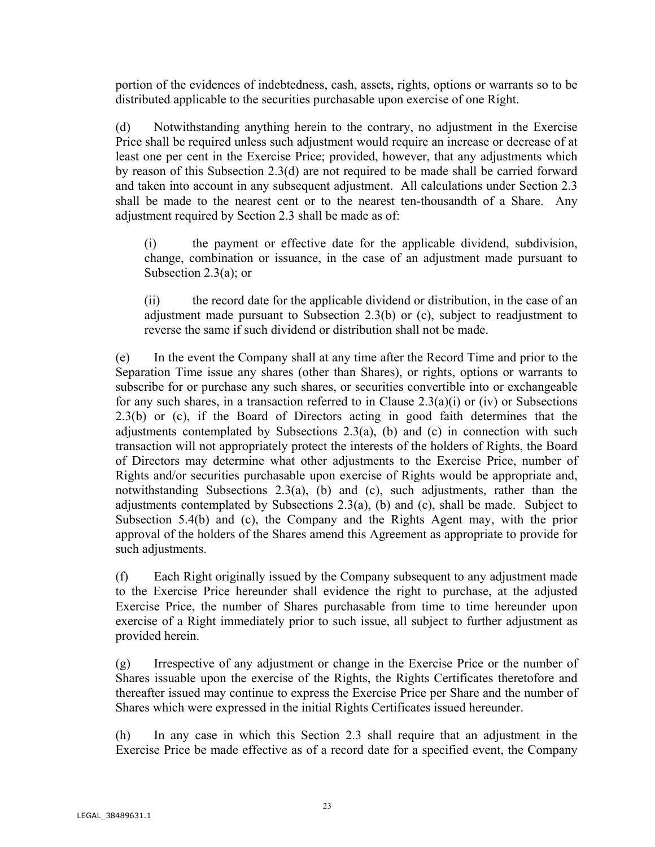portion of the evidences of indebtedness, cash, assets, rights, options or warrants so to be distributed applicable to the securities purchasable upon exercise of one Right.

(d) Notwithstanding anything herein to the contrary, no adjustment in the Exercise Price shall be required unless such adjustment would require an increase or decrease of at least one per cent in the Exercise Price; provided, however, that any adjustments which by reason of this Subsection 2.3(d) are not required to be made shall be carried forward and taken into account in any subsequent adjustment. All calculations under Section 2.3 shall be made to the nearest cent or to the nearest ten-thousandth of a Share. Any adjustment required by Section 2.3 shall be made as of:

(i) the payment or effective date for the applicable dividend, subdivision, change, combination or issuance, in the case of an adjustment made pursuant to Subsection 2.3(a); or

(ii) the record date for the applicable dividend or distribution, in the case of an adjustment made pursuant to Subsection 2.3(b) or (c), subject to readjustment to reverse the same if such dividend or distribution shall not be made.

(e) In the event the Company shall at any time after the Record Time and prior to the Separation Time issue any shares (other than Shares), or rights, options or warrants to subscribe for or purchase any such shares, or securities convertible into or exchangeable for any such shares, in a transaction referred to in Clause  $2.3(a)(i)$  or (iv) or Subsections 2.3(b) or (c), if the Board of Directors acting in good faith determines that the adjustments contemplated by Subsections  $2.3(a)$ , (b) and (c) in connection with such transaction will not appropriately protect the interests of the holders of Rights, the Board of Directors may determine what other adjustments to the Exercise Price, number of Rights and/or securities purchasable upon exercise of Rights would be appropriate and, notwithstanding Subsections 2.3(a), (b) and (c), such adjustments, rather than the adjustments contemplated by Subsections  $2.3(a)$ , (b) and (c), shall be made. Subject to Subsection 5.4(b) and (c), the Company and the Rights Agent may, with the prior approval of the holders of the Shares amend this Agreement as appropriate to provide for such adjustments.

(f) Each Right originally issued by the Company subsequent to any adjustment made to the Exercise Price hereunder shall evidence the right to purchase, at the adjusted Exercise Price, the number of Shares purchasable from time to time hereunder upon exercise of a Right immediately prior to such issue, all subject to further adjustment as provided herein.

(g) Irrespective of any adjustment or change in the Exercise Price or the number of Shares issuable upon the exercise of the Rights, the Rights Certificates theretofore and thereafter issued may continue to express the Exercise Price per Share and the number of Shares which were expressed in the initial Rights Certificates issued hereunder.

(h) In any case in which this Section 2.3 shall require that an adjustment in the Exercise Price be made effective as of a record date for a specified event, the Company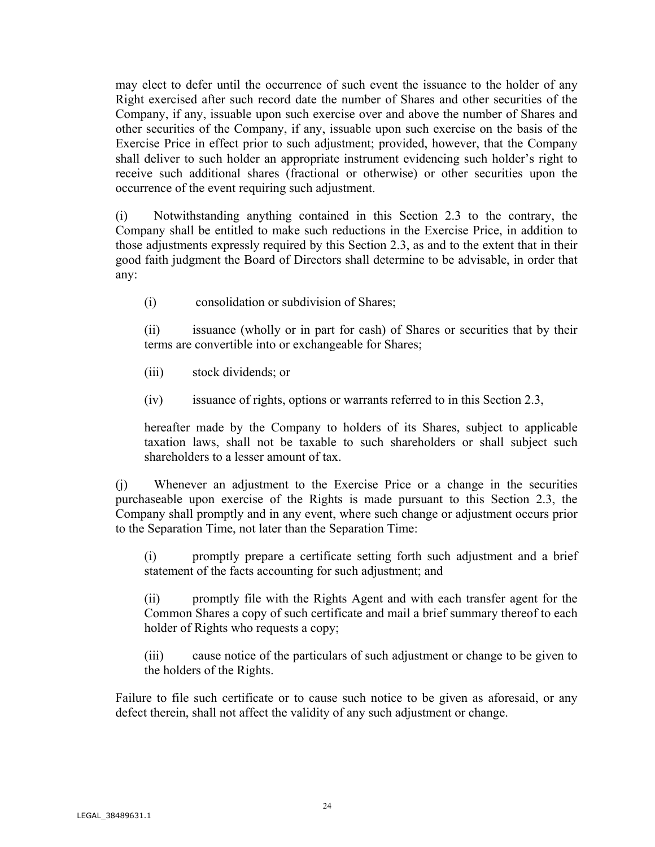may elect to defer until the occurrence of such event the issuance to the holder of any Right exercised after such record date the number of Shares and other securities of the Company, if any, issuable upon such exercise over and above the number of Shares and other securities of the Company, if any, issuable upon such exercise on the basis of the Exercise Price in effect prior to such adjustment; provided, however, that the Company shall deliver to such holder an appropriate instrument evidencing such holder's right to receive such additional shares (fractional or otherwise) or other securities upon the occurrence of the event requiring such adjustment.

(i) Notwithstanding anything contained in this Section 2.3 to the contrary, the Company shall be entitled to make such reductions in the Exercise Price, in addition to those adjustments expressly required by this Section 2.3, as and to the extent that in their good faith judgment the Board of Directors shall determine to be advisable, in order that any:

(i) consolidation or subdivision of Shares;

(ii) issuance (wholly or in part for cash) of Shares or securities that by their terms are convertible into or exchangeable for Shares;

- (iii) stock dividends; or
- (iv) issuance of rights, options or warrants referred to in this Section 2.3,

hereafter made by the Company to holders of its Shares, subject to applicable taxation laws, shall not be taxable to such shareholders or shall subject such shareholders to a lesser amount of tax.

(j) Whenever an adjustment to the Exercise Price or a change in the securities purchaseable upon exercise of the Rights is made pursuant to this Section 2.3, the Company shall promptly and in any event, where such change or adjustment occurs prior to the Separation Time, not later than the Separation Time:

(i) promptly prepare a certificate setting forth such adjustment and a brief statement of the facts accounting for such adjustment; and

(ii) promptly file with the Rights Agent and with each transfer agent for the Common Shares a copy of such certificate and mail a brief summary thereof to each holder of Rights who requests a copy;

(iii) cause notice of the particulars of such adjustment or change to be given to the holders of the Rights.

Failure to file such certificate or to cause such notice to be given as aforesaid, or any defect therein, shall not affect the validity of any such adjustment or change.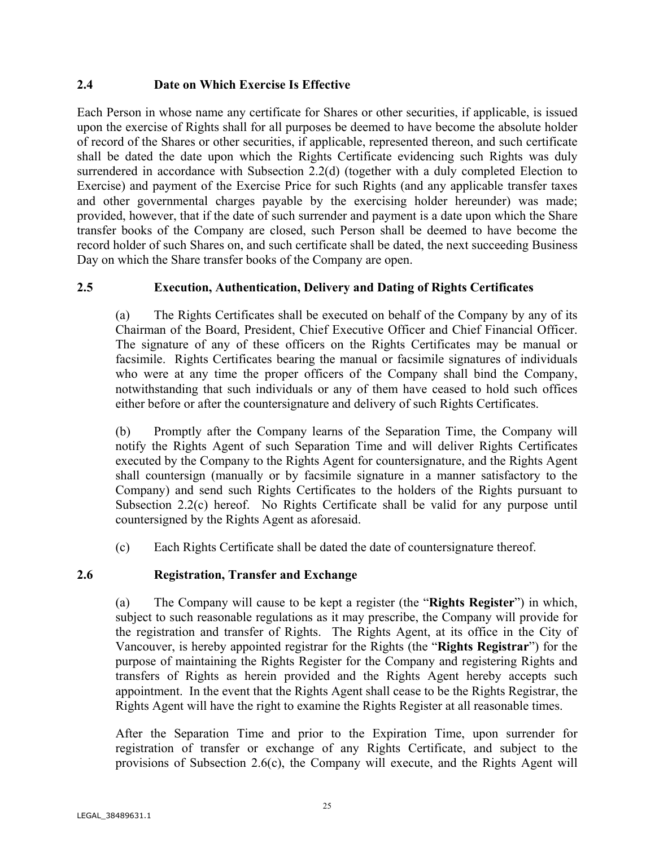## **2.4 Date on Which Exercise Is Effective**

Each Person in whose name any certificate for Shares or other securities, if applicable, is issued upon the exercise of Rights shall for all purposes be deemed to have become the absolute holder of record of the Shares or other securities, if applicable, represented thereon, and such certificate shall be dated the date upon which the Rights Certificate evidencing such Rights was duly surrendered in accordance with Subsection 2.2(d) (together with a duly completed Election to Exercise) and payment of the Exercise Price for such Rights (and any applicable transfer taxes and other governmental charges payable by the exercising holder hereunder) was made; provided, however, that if the date of such surrender and payment is a date upon which the Share transfer books of the Company are closed, such Person shall be deemed to have become the record holder of such Shares on, and such certificate shall be dated, the next succeeding Business Day on which the Share transfer books of the Company are open.

## **2.5 Execution, Authentication, Delivery and Dating of Rights Certificates**

(a) The Rights Certificates shall be executed on behalf of the Company by any of its Chairman of the Board, President, Chief Executive Officer and Chief Financial Officer. The signature of any of these officers on the Rights Certificates may be manual or facsimile. Rights Certificates bearing the manual or facsimile signatures of individuals who were at any time the proper officers of the Company shall bind the Company, notwithstanding that such individuals or any of them have ceased to hold such offices either before or after the countersignature and delivery of such Rights Certificates.

(b) Promptly after the Company learns of the Separation Time, the Company will notify the Rights Agent of such Separation Time and will deliver Rights Certificates executed by the Company to the Rights Agent for countersignature, and the Rights Agent shall countersign (manually or by facsimile signature in a manner satisfactory to the Company) and send such Rights Certificates to the holders of the Rights pursuant to Subsection 2.2(c) hereof. No Rights Certificate shall be valid for any purpose until countersigned by the Rights Agent as aforesaid.

(c) Each Rights Certificate shall be dated the date of countersignature thereof.

## **2.6 Registration, Transfer and Exchange**

(a) The Company will cause to be kept a register (the "**Rights Register**") in which, subject to such reasonable regulations as it may prescribe, the Company will provide for the registration and transfer of Rights. The Rights Agent, at its office in the City of Vancouver, is hereby appointed registrar for the Rights (the "**Rights Registrar**") for the purpose of maintaining the Rights Register for the Company and registering Rights and transfers of Rights as herein provided and the Rights Agent hereby accepts such appointment. In the event that the Rights Agent shall cease to be the Rights Registrar, the Rights Agent will have the right to examine the Rights Register at all reasonable times.

After the Separation Time and prior to the Expiration Time, upon surrender for registration of transfer or exchange of any Rights Certificate, and subject to the provisions of Subsection 2.6(c), the Company will execute, and the Rights Agent will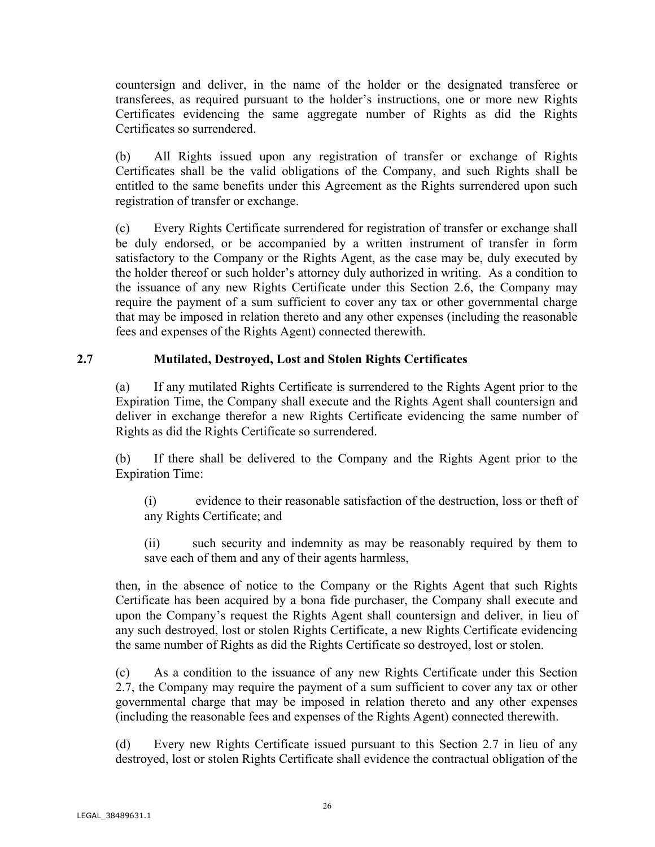countersign and deliver, in the name of the holder or the designated transferee or transferees, as required pursuant to the holder's instructions, one or more new Rights Certificates evidencing the same aggregate number of Rights as did the Rights Certificates so surrendered.

(b) All Rights issued upon any registration of transfer or exchange of Rights Certificates shall be the valid obligations of the Company, and such Rights shall be entitled to the same benefits under this Agreement as the Rights surrendered upon such registration of transfer or exchange.

(c) Every Rights Certificate surrendered for registration of transfer or exchange shall be duly endorsed, or be accompanied by a written instrument of transfer in form satisfactory to the Company or the Rights Agent, as the case may be, duly executed by the holder thereof or such holder's attorney duly authorized in writing. As a condition to the issuance of any new Rights Certificate under this Section 2.6, the Company may require the payment of a sum sufficient to cover any tax or other governmental charge that may be imposed in relation thereto and any other expenses (including the reasonable fees and expenses of the Rights Agent) connected therewith.

## **2.7 Mutilated, Destroyed, Lost and Stolen Rights Certificates**

(a) If any mutilated Rights Certificate is surrendered to the Rights Agent prior to the Expiration Time, the Company shall execute and the Rights Agent shall countersign and deliver in exchange therefor a new Rights Certificate evidencing the same number of Rights as did the Rights Certificate so surrendered.

(b) If there shall be delivered to the Company and the Rights Agent prior to the Expiration Time:

(i) evidence to their reasonable satisfaction of the destruction, loss or theft of any Rights Certificate; and

(ii) such security and indemnity as may be reasonably required by them to save each of them and any of their agents harmless,

then, in the absence of notice to the Company or the Rights Agent that such Rights Certificate has been acquired by a bona fide purchaser, the Company shall execute and upon the Company's request the Rights Agent shall countersign and deliver, in lieu of any such destroyed, lost or stolen Rights Certificate, a new Rights Certificate evidencing the same number of Rights as did the Rights Certificate so destroyed, lost or stolen.

(c) As a condition to the issuance of any new Rights Certificate under this Section 2.7, the Company may require the payment of a sum sufficient to cover any tax or other governmental charge that may be imposed in relation thereto and any other expenses (including the reasonable fees and expenses of the Rights Agent) connected therewith.

(d) Every new Rights Certificate issued pursuant to this Section 2.7 in lieu of any destroyed, lost or stolen Rights Certificate shall evidence the contractual obligation of the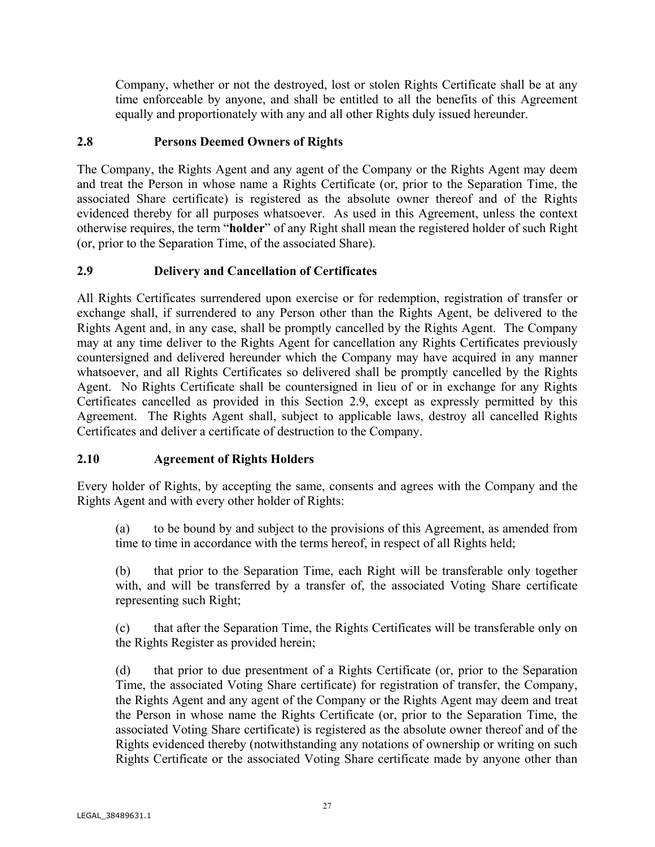Company, whether or not the destroyed, lost or stolen Rights Certificate shall be at any time enforceable by anyone, and shall be entitled to all the benefits of this Agreement equally and proportionately with any and all other Rights duly issued hereunder.

## **2.8 Persons Deemed Owners of Rights**

The Company, the Rights Agent and any agent of the Company or the Rights Agent may deem and treat the Person in whose name a Rights Certificate (or, prior to the Separation Time, the associated Share certificate) is registered as the absolute owner thereof and of the Rights evidenced thereby for all purposes whatsoever. As used in this Agreement, unless the context otherwise requires, the term "**holder**" of any Right shall mean the registered holder of such Right (or, prior to the Separation Time, of the associated Share).

# **2.9 Delivery and Cancellation of Certificates**

All Rights Certificates surrendered upon exercise or for redemption, registration of transfer or exchange shall, if surrendered to any Person other than the Rights Agent, be delivered to the Rights Agent and, in any case, shall be promptly cancelled by the Rights Agent. The Company may at any time deliver to the Rights Agent for cancellation any Rights Certificates previously countersigned and delivered hereunder which the Company may have acquired in any manner whatsoever, and all Rights Certificates so delivered shall be promptly cancelled by the Rights Agent. No Rights Certificate shall be countersigned in lieu of or in exchange for any Rights Certificates cancelled as provided in this Section 2.9, except as expressly permitted by this Agreement. The Rights Agent shall, subject to applicable laws, destroy all cancelled Rights Certificates and deliver a certificate of destruction to the Company.

# **2.10 Agreement of Rights Holders**

Every holder of Rights, by accepting the same, consents and agrees with the Company and the Rights Agent and with every other holder of Rights:

(a) to be bound by and subject to the provisions of this Agreement, as amended from time to time in accordance with the terms hereof, in respect of all Rights held;

(b) that prior to the Separation Time, each Right will be transferable only together with, and will be transferred by a transfer of, the associated Voting Share certificate representing such Right;

(c) that after the Separation Time, the Rights Certificates will be transferable only on the Rights Register as provided herein;

(d) that prior to due presentment of a Rights Certificate (or, prior to the Separation Time, the associated Voting Share certificate) for registration of transfer, the Company, the Rights Agent and any agent of the Company or the Rights Agent may deem and treat the Person in whose name the Rights Certificate (or, prior to the Separation Time, the associated Voting Share certificate) is registered as the absolute owner thereof and of the Rights evidenced thereby (notwithstanding any notations of ownership or writing on such Rights Certificate or the associated Voting Share certificate made by anyone other than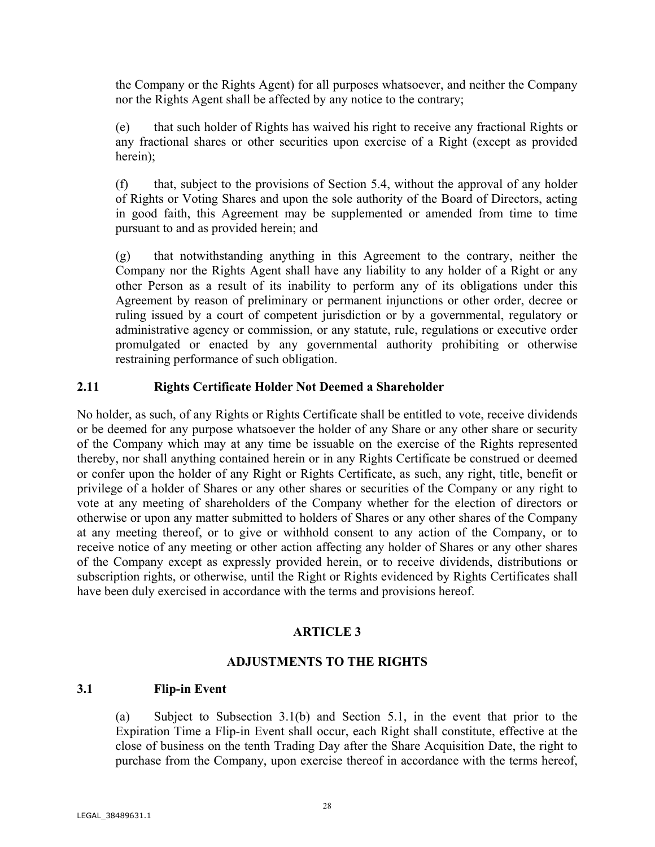the Company or the Rights Agent) for all purposes whatsoever, and neither the Company nor the Rights Agent shall be affected by any notice to the contrary;

(e) that such holder of Rights has waived his right to receive any fractional Rights or any fractional shares or other securities upon exercise of a Right (except as provided herein);

(f) that, subject to the provisions of Section 5.4, without the approval of any holder of Rights or Voting Shares and upon the sole authority of the Board of Directors, acting in good faith, this Agreement may be supplemented or amended from time to time pursuant to and as provided herein; and

(g) that notwithstanding anything in this Agreement to the contrary, neither the Company nor the Rights Agent shall have any liability to any holder of a Right or any other Person as a result of its inability to perform any of its obligations under this Agreement by reason of preliminary or permanent injunctions or other order, decree or ruling issued by a court of competent jurisdiction or by a governmental, regulatory or administrative agency or commission, or any statute, rule, regulations or executive order promulgated or enacted by any governmental authority prohibiting or otherwise restraining performance of such obligation.

## **2.11 Rights Certificate Holder Not Deemed a Shareholder**

No holder, as such, of any Rights or Rights Certificate shall be entitled to vote, receive dividends or be deemed for any purpose whatsoever the holder of any Share or any other share or security of the Company which may at any time be issuable on the exercise of the Rights represented thereby, nor shall anything contained herein or in any Rights Certificate be construed or deemed or confer upon the holder of any Right or Rights Certificate, as such, any right, title, benefit or privilege of a holder of Shares or any other shares or securities of the Company or any right to vote at any meeting of shareholders of the Company whether for the election of directors or otherwise or upon any matter submitted to holders of Shares or any other shares of the Company at any meeting thereof, or to give or withhold consent to any action of the Company, or to receive notice of any meeting or other action affecting any holder of Shares or any other shares of the Company except as expressly provided herein, or to receive dividends, distributions or subscription rights, or otherwise, until the Right or Rights evidenced by Rights Certificates shall have been duly exercised in accordance with the terms and provisions hereof.

### **ARTICLE 3**

### **ADJUSTMENTS TO THE RIGHTS**

### **3.1 Flip-in Event**

(a) Subject to Subsection 3.1(b) and Section 5.1, in the event that prior to the Expiration Time a Flip-in Event shall occur, each Right shall constitute, effective at the close of business on the tenth Trading Day after the Share Acquisition Date, the right to purchase from the Company, upon exercise thereof in accordance with the terms hereof,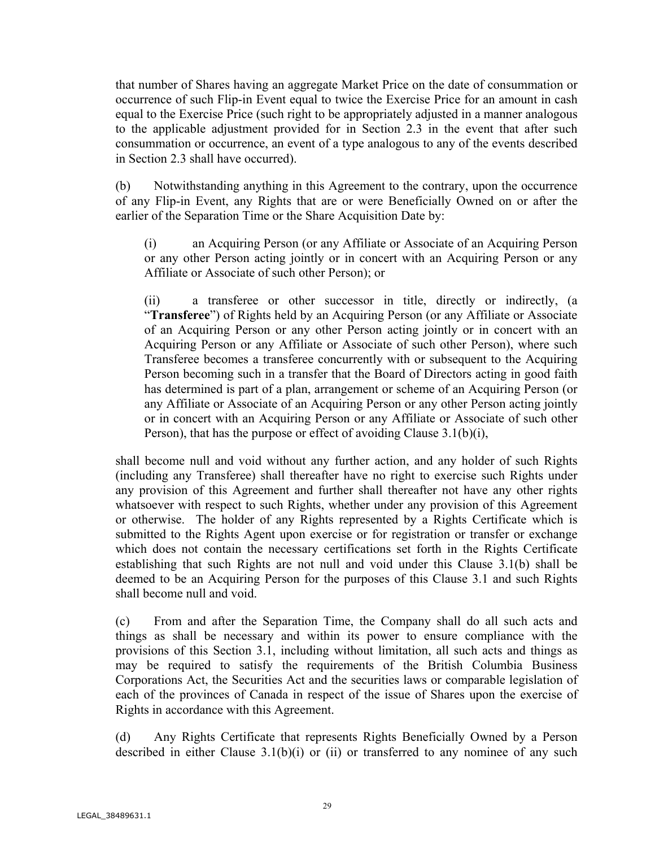that number of Shares having an aggregate Market Price on the date of consummation or occurrence of such Flip-in Event equal to twice the Exercise Price for an amount in cash equal to the Exercise Price (such right to be appropriately adjusted in a manner analogous to the applicable adjustment provided for in Section 2.3 in the event that after such consummation or occurrence, an event of a type analogous to any of the events described in Section 2.3 shall have occurred).

(b) Notwithstanding anything in this Agreement to the contrary, upon the occurrence of any Flip-in Event, any Rights that are or were Beneficially Owned on or after the earlier of the Separation Time or the Share Acquisition Date by:

(i) an Acquiring Person (or any Affiliate or Associate of an Acquiring Person or any other Person acting jointly or in concert with an Acquiring Person or any Affiliate or Associate of such other Person); or

(ii) a transferee or other successor in title, directly or indirectly, (a "**Transferee**") of Rights held by an Acquiring Person (or any Affiliate or Associate of an Acquiring Person or any other Person acting jointly or in concert with an Acquiring Person or any Affiliate or Associate of such other Person), where such Transferee becomes a transferee concurrently with or subsequent to the Acquiring Person becoming such in a transfer that the Board of Directors acting in good faith has determined is part of a plan, arrangement or scheme of an Acquiring Person (or any Affiliate or Associate of an Acquiring Person or any other Person acting jointly or in concert with an Acquiring Person or any Affiliate or Associate of such other Person), that has the purpose or effect of avoiding Clause 3.1(b)(i),

shall become null and void without any further action, and any holder of such Rights (including any Transferee) shall thereafter have no right to exercise such Rights under any provision of this Agreement and further shall thereafter not have any other rights whatsoever with respect to such Rights, whether under any provision of this Agreement or otherwise. The holder of any Rights represented by a Rights Certificate which is submitted to the Rights Agent upon exercise or for registration or transfer or exchange which does not contain the necessary certifications set forth in the Rights Certificate establishing that such Rights are not null and void under this Clause 3.1(b) shall be deemed to be an Acquiring Person for the purposes of this Clause 3.1 and such Rights shall become null and void.

(c) From and after the Separation Time, the Company shall do all such acts and things as shall be necessary and within its power to ensure compliance with the provisions of this Section 3.1, including without limitation, all such acts and things as may be required to satisfy the requirements of the British Columbia Business Corporations Act, the Securities Act and the securities laws or comparable legislation of each of the provinces of Canada in respect of the issue of Shares upon the exercise of Rights in accordance with this Agreement.

(d) Any Rights Certificate that represents Rights Beneficially Owned by a Person described in either Clause  $3.1(b)(i)$  or (ii) or transferred to any nominee of any such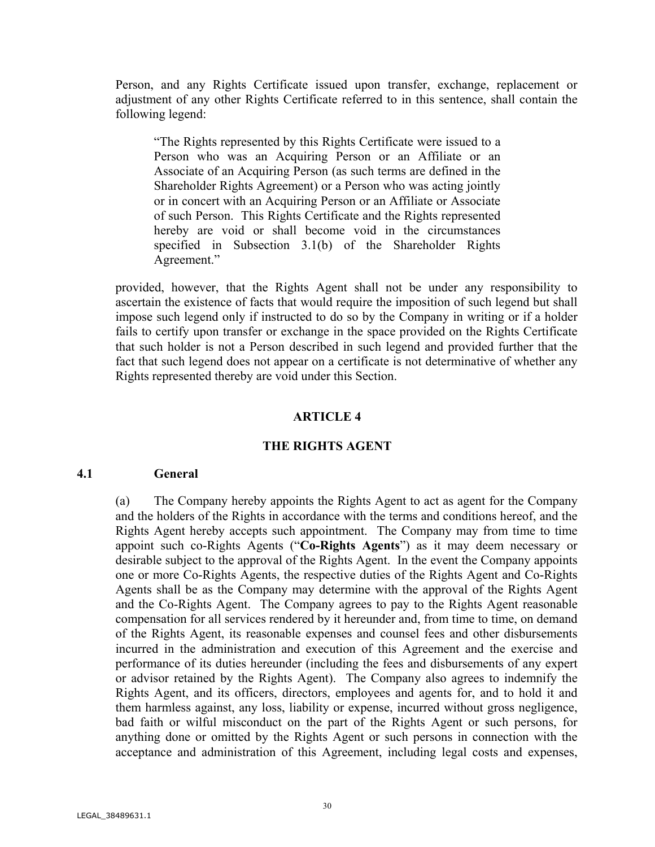Person, and any Rights Certificate issued upon transfer, exchange, replacement or adjustment of any other Rights Certificate referred to in this sentence, shall contain the following legend:

"The Rights represented by this Rights Certificate were issued to a Person who was an Acquiring Person or an Affiliate or an Associate of an Acquiring Person (as such terms are defined in the Shareholder Rights Agreement) or a Person who was acting jointly or in concert with an Acquiring Person or an Affiliate or Associate of such Person. This Rights Certificate and the Rights represented hereby are void or shall become void in the circumstances specified in Subsection 3.1(b) of the Shareholder Rights Agreement."

provided, however, that the Rights Agent shall not be under any responsibility to ascertain the existence of facts that would require the imposition of such legend but shall impose such legend only if instructed to do so by the Company in writing or if a holder fails to certify upon transfer or exchange in the space provided on the Rights Certificate that such holder is not a Person described in such legend and provided further that the fact that such legend does not appear on a certificate is not determinative of whether any Rights represented thereby are void under this Section.

#### **ARTICLE 4**

#### **THE RIGHTS AGENT**

### **4.1 General**

(a) The Company hereby appoints the Rights Agent to act as agent for the Company and the holders of the Rights in accordance with the terms and conditions hereof, and the Rights Agent hereby accepts such appointment. The Company may from time to time appoint such co-Rights Agents ("**Co-Rights Agents**") as it may deem necessary or desirable subject to the approval of the Rights Agent. In the event the Company appoints one or more Co-Rights Agents, the respective duties of the Rights Agent and Co-Rights Agents shall be as the Company may determine with the approval of the Rights Agent and the Co-Rights Agent. The Company agrees to pay to the Rights Agent reasonable compensation for all services rendered by it hereunder and, from time to time, on demand of the Rights Agent, its reasonable expenses and counsel fees and other disbursements incurred in the administration and execution of this Agreement and the exercise and performance of its duties hereunder (including the fees and disbursements of any expert or advisor retained by the Rights Agent). The Company also agrees to indemnify the Rights Agent, and its officers, directors, employees and agents for, and to hold it and them harmless against, any loss, liability or expense, incurred without gross negligence, bad faith or wilful misconduct on the part of the Rights Agent or such persons, for anything done or omitted by the Rights Agent or such persons in connection with the acceptance and administration of this Agreement, including legal costs and expenses,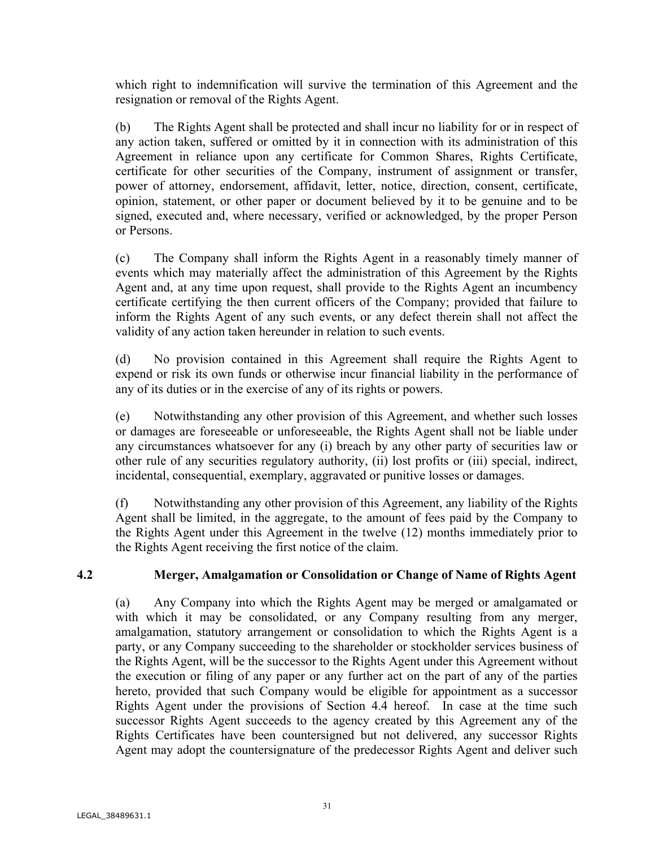which right to indemnification will survive the termination of this Agreement and the resignation or removal of the Rights Agent.

(b) The Rights Agent shall be protected and shall incur no liability for or in respect of any action taken, suffered or omitted by it in connection with its administration of this Agreement in reliance upon any certificate for Common Shares, Rights Certificate, certificate for other securities of the Company, instrument of assignment or transfer, power of attorney, endorsement, affidavit, letter, notice, direction, consent, certificate, opinion, statement, or other paper or document believed by it to be genuine and to be signed, executed and, where necessary, verified or acknowledged, by the proper Person or Persons.

(c) The Company shall inform the Rights Agent in a reasonably timely manner of events which may materially affect the administration of this Agreement by the Rights Agent and, at any time upon request, shall provide to the Rights Agent an incumbency certificate certifying the then current officers of the Company; provided that failure to inform the Rights Agent of any such events, or any defect therein shall not affect the validity of any action taken hereunder in relation to such events.

(d) No provision contained in this Agreement shall require the Rights Agent to expend or risk its own funds or otherwise incur financial liability in the performance of any of its duties or in the exercise of any of its rights or powers.

(e) Notwithstanding any other provision of this Agreement, and whether such losses or damages are foreseeable or unforeseeable, the Rights Agent shall not be liable under any circumstances whatsoever for any (i) breach by any other party of securities law or other rule of any securities regulatory authority, (ii) lost profits or (iii) special, indirect, incidental, consequential, exemplary, aggravated or punitive losses or damages.

(f) Notwithstanding any other provision of this Agreement, any liability of the Rights Agent shall be limited, in the aggregate, to the amount of fees paid by the Company to the Rights Agent under this Agreement in the twelve (12) months immediately prior to the Rights Agent receiving the first notice of the claim.

## **4.2 Merger, Amalgamation or Consolidation or Change of Name of Rights Agent**

(a) Any Company into which the Rights Agent may be merged or amalgamated or with which it may be consolidated, or any Company resulting from any merger, amalgamation, statutory arrangement or consolidation to which the Rights Agent is a party, or any Company succeeding to the shareholder or stockholder services business of the Rights Agent, will be the successor to the Rights Agent under this Agreement without the execution or filing of any paper or any further act on the part of any of the parties hereto, provided that such Company would be eligible for appointment as a successor Rights Agent under the provisions of Section 4.4 hereof. In case at the time such successor Rights Agent succeeds to the agency created by this Agreement any of the Rights Certificates have been countersigned but not delivered, any successor Rights Agent may adopt the countersignature of the predecessor Rights Agent and deliver such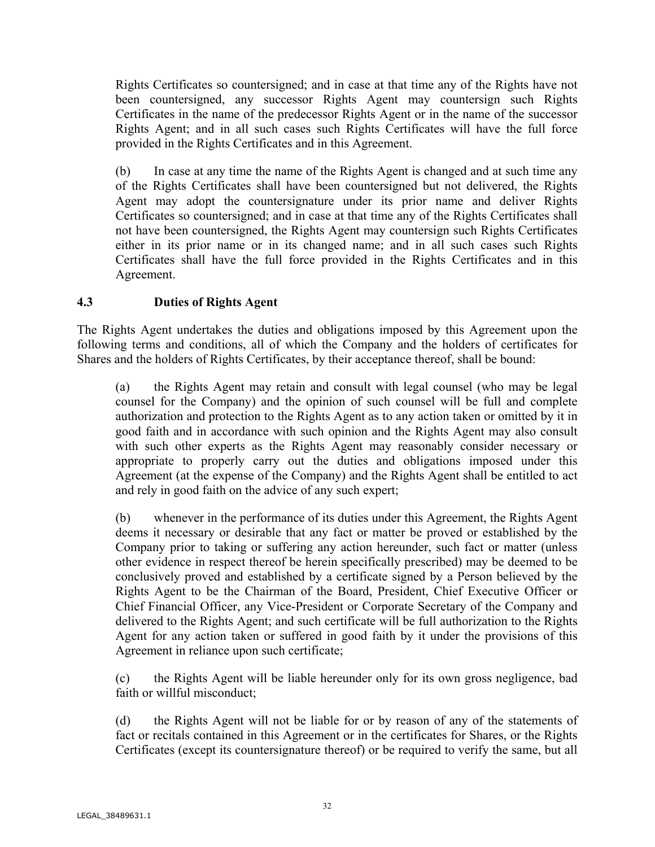Rights Certificates so countersigned; and in case at that time any of the Rights have not been countersigned, any successor Rights Agent may countersign such Rights Certificates in the name of the predecessor Rights Agent or in the name of the successor Rights Agent; and in all such cases such Rights Certificates will have the full force provided in the Rights Certificates and in this Agreement.

(b) In case at any time the name of the Rights Agent is changed and at such time any of the Rights Certificates shall have been countersigned but not delivered, the Rights Agent may adopt the countersignature under its prior name and deliver Rights Certificates so countersigned; and in case at that time any of the Rights Certificates shall not have been countersigned, the Rights Agent may countersign such Rights Certificates either in its prior name or in its changed name; and in all such cases such Rights Certificates shall have the full force provided in the Rights Certificates and in this Agreement.

## **4.3 Duties of Rights Agent**

The Rights Agent undertakes the duties and obligations imposed by this Agreement upon the following terms and conditions, all of which the Company and the holders of certificates for Shares and the holders of Rights Certificates, by their acceptance thereof, shall be bound:

(a) the Rights Agent may retain and consult with legal counsel (who may be legal counsel for the Company) and the opinion of such counsel will be full and complete authorization and protection to the Rights Agent as to any action taken or omitted by it in good faith and in accordance with such opinion and the Rights Agent may also consult with such other experts as the Rights Agent may reasonably consider necessary or appropriate to properly carry out the duties and obligations imposed under this Agreement (at the expense of the Company) and the Rights Agent shall be entitled to act and rely in good faith on the advice of any such expert;

(b) whenever in the performance of its duties under this Agreement, the Rights Agent deems it necessary or desirable that any fact or matter be proved or established by the Company prior to taking or suffering any action hereunder, such fact or matter (unless other evidence in respect thereof be herein specifically prescribed) may be deemed to be conclusively proved and established by a certificate signed by a Person believed by the Rights Agent to be the Chairman of the Board, President, Chief Executive Officer or Chief Financial Officer, any Vice-President or Corporate Secretary of the Company and delivered to the Rights Agent; and such certificate will be full authorization to the Rights Agent for any action taken or suffered in good faith by it under the provisions of this Agreement in reliance upon such certificate;

(c) the Rights Agent will be liable hereunder only for its own gross negligence, bad faith or willful misconduct;

(d) the Rights Agent will not be liable for or by reason of any of the statements of fact or recitals contained in this Agreement or in the certificates for Shares, or the Rights Certificates (except its countersignature thereof) or be required to verify the same, but all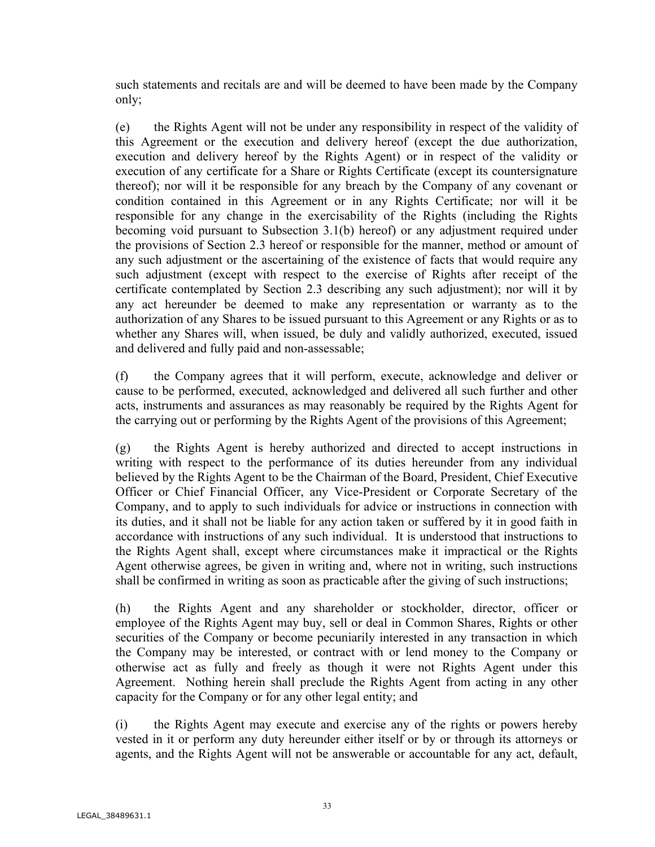such statements and recitals are and will be deemed to have been made by the Company only;

(e) the Rights Agent will not be under any responsibility in respect of the validity of this Agreement or the execution and delivery hereof (except the due authorization, execution and delivery hereof by the Rights Agent) or in respect of the validity or execution of any certificate for a Share or Rights Certificate (except its countersignature thereof); nor will it be responsible for any breach by the Company of any covenant or condition contained in this Agreement or in any Rights Certificate; nor will it be responsible for any change in the exercisability of the Rights (including the Rights becoming void pursuant to Subsection 3.1(b) hereof) or any adjustment required under the provisions of Section 2.3 hereof or responsible for the manner, method or amount of any such adjustment or the ascertaining of the existence of facts that would require any such adjustment (except with respect to the exercise of Rights after receipt of the certificate contemplated by Section 2.3 describing any such adjustment); nor will it by any act hereunder be deemed to make any representation or warranty as to the authorization of any Shares to be issued pursuant to this Agreement or any Rights or as to whether any Shares will, when issued, be duly and validly authorized, executed, issued and delivered and fully paid and non-assessable;

(f) the Company agrees that it will perform, execute, acknowledge and deliver or cause to be performed, executed, acknowledged and delivered all such further and other acts, instruments and assurances as may reasonably be required by the Rights Agent for the carrying out or performing by the Rights Agent of the provisions of this Agreement;

(g) the Rights Agent is hereby authorized and directed to accept instructions in writing with respect to the performance of its duties hereunder from any individual believed by the Rights Agent to be the Chairman of the Board, President, Chief Executive Officer or Chief Financial Officer, any Vice-President or Corporate Secretary of the Company, and to apply to such individuals for advice or instructions in connection with its duties, and it shall not be liable for any action taken or suffered by it in good faith in accordance with instructions of any such individual. It is understood that instructions to the Rights Agent shall, except where circumstances make it impractical or the Rights Agent otherwise agrees, be given in writing and, where not in writing, such instructions shall be confirmed in writing as soon as practicable after the giving of such instructions;

(h) the Rights Agent and any shareholder or stockholder, director, officer or employee of the Rights Agent may buy, sell or deal in Common Shares, Rights or other securities of the Company or become pecuniarily interested in any transaction in which the Company may be interested, or contract with or lend money to the Company or otherwise act as fully and freely as though it were not Rights Agent under this Agreement. Nothing herein shall preclude the Rights Agent from acting in any other capacity for the Company or for any other legal entity; and

(i) the Rights Agent may execute and exercise any of the rights or powers hereby vested in it or perform any duty hereunder either itself or by or through its attorneys or agents, and the Rights Agent will not be answerable or accountable for any act, default,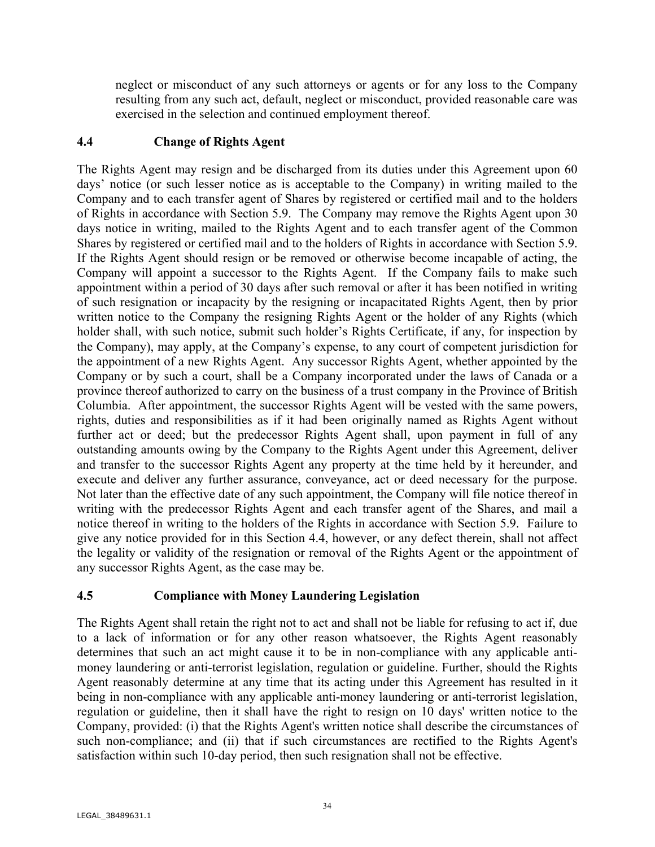neglect or misconduct of any such attorneys or agents or for any loss to the Company resulting from any such act, default, neglect or misconduct, provided reasonable care was exercised in the selection and continued employment thereof.

## **4.4 Change of Rights Agent**

The Rights Agent may resign and be discharged from its duties under this Agreement upon 60 days' notice (or such lesser notice as is acceptable to the Company) in writing mailed to the Company and to each transfer agent of Shares by registered or certified mail and to the holders of Rights in accordance with Section 5.9. The Company may remove the Rights Agent upon 30 days notice in writing, mailed to the Rights Agent and to each transfer agent of the Common Shares by registered or certified mail and to the holders of Rights in accordance with Section 5.9. If the Rights Agent should resign or be removed or otherwise become incapable of acting, the Company will appoint a successor to the Rights Agent. If the Company fails to make such appointment within a period of 30 days after such removal or after it has been notified in writing of such resignation or incapacity by the resigning or incapacitated Rights Agent, then by prior written notice to the Company the resigning Rights Agent or the holder of any Rights (which holder shall, with such notice, submit such holder's Rights Certificate, if any, for inspection by the Company), may apply, at the Company's expense, to any court of competent jurisdiction for the appointment of a new Rights Agent. Any successor Rights Agent, whether appointed by the Company or by such a court, shall be a Company incorporated under the laws of Canada or a province thereof authorized to carry on the business of a trust company in the Province of British Columbia. After appointment, the successor Rights Agent will be vested with the same powers, rights, duties and responsibilities as if it had been originally named as Rights Agent without further act or deed; but the predecessor Rights Agent shall, upon payment in full of any outstanding amounts owing by the Company to the Rights Agent under this Agreement, deliver and transfer to the successor Rights Agent any property at the time held by it hereunder, and execute and deliver any further assurance, conveyance, act or deed necessary for the purpose. Not later than the effective date of any such appointment, the Company will file notice thereof in writing with the predecessor Rights Agent and each transfer agent of the Shares, and mail a notice thereof in writing to the holders of the Rights in accordance with Section 5.9. Failure to give any notice provided for in this Section 4.4, however, or any defect therein, shall not affect the legality or validity of the resignation or removal of the Rights Agent or the appointment of any successor Rights Agent, as the case may be.

### **4.5 Compliance with Money Laundering Legislation**

The Rights Agent shall retain the right not to act and shall not be liable for refusing to act if, due to a lack of information or for any other reason whatsoever, the Rights Agent reasonably determines that such an act might cause it to be in non-compliance with any applicable antimoney laundering or anti-terrorist legislation, regulation or guideline. Further, should the Rights Agent reasonably determine at any time that its acting under this Agreement has resulted in it being in non-compliance with any applicable anti-money laundering or anti-terrorist legislation, regulation or guideline, then it shall have the right to resign on 10 days' written notice to the Company, provided: (i) that the Rights Agent's written notice shall describe the circumstances of such non-compliance; and (ii) that if such circumstances are rectified to the Rights Agent's satisfaction within such 10-day period, then such resignation shall not be effective.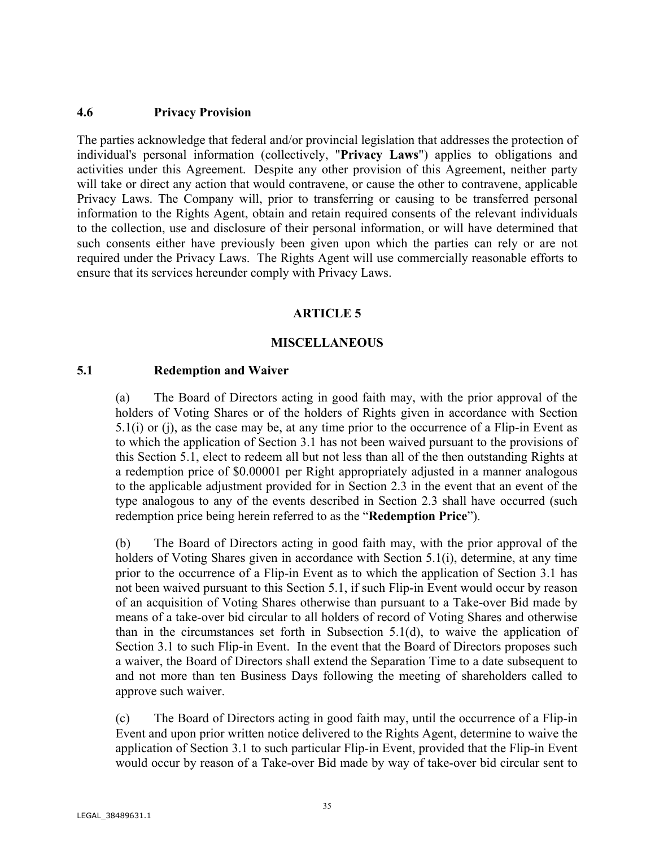### **4.6 Privacy Provision**

The parties acknowledge that federal and/or provincial legislation that addresses the protection of individual's personal information (collectively, "**Privacy Laws**") applies to obligations and activities under this Agreement. Despite any other provision of this Agreement, neither party will take or direct any action that would contravene, or cause the other to contravene, applicable Privacy Laws. The Company will, prior to transferring or causing to be transferred personal information to the Rights Agent, obtain and retain required consents of the relevant individuals to the collection, use and disclosure of their personal information, or will have determined that such consents either have previously been given upon which the parties can rely or are not required under the Privacy Laws. The Rights Agent will use commercially reasonable efforts to ensure that its services hereunder comply with Privacy Laws.

### **ARTICLE 5**

#### **MISCELLANEOUS**

#### **5.1 Redemption and Waiver**

(a) The Board of Directors acting in good faith may, with the prior approval of the holders of Voting Shares or of the holders of Rights given in accordance with Section 5.1(i) or (j), as the case may be, at any time prior to the occurrence of a Flip-in Event as to which the application of Section 3.1 has not been waived pursuant to the provisions of this Section 5.1, elect to redeem all but not less than all of the then outstanding Rights at a redemption price of \$0.00001 per Right appropriately adjusted in a manner analogous to the applicable adjustment provided for in Section 2.3 in the event that an event of the type analogous to any of the events described in Section 2.3 shall have occurred (such redemption price being herein referred to as the "**Redemption Price**").

(b) The Board of Directors acting in good faith may, with the prior approval of the holders of Voting Shares given in accordance with Section 5.1(i), determine, at any time prior to the occurrence of a Flip-in Event as to which the application of Section 3.1 has not been waived pursuant to this Section 5.1, if such Flip-in Event would occur by reason of an acquisition of Voting Shares otherwise than pursuant to a Take-over Bid made by means of a take-over bid circular to all holders of record of Voting Shares and otherwise than in the circumstances set forth in Subsection  $5.1(d)$ , to waive the application of Section 3.1 to such Flip-in Event. In the event that the Board of Directors proposes such a waiver, the Board of Directors shall extend the Separation Time to a date subsequent to and not more than ten Business Days following the meeting of shareholders called to approve such waiver.

(c) The Board of Directors acting in good faith may, until the occurrence of a Flip-in Event and upon prior written notice delivered to the Rights Agent, determine to waive the application of Section 3.1 to such particular Flip-in Event, provided that the Flip-in Event would occur by reason of a Take-over Bid made by way of take-over bid circular sent to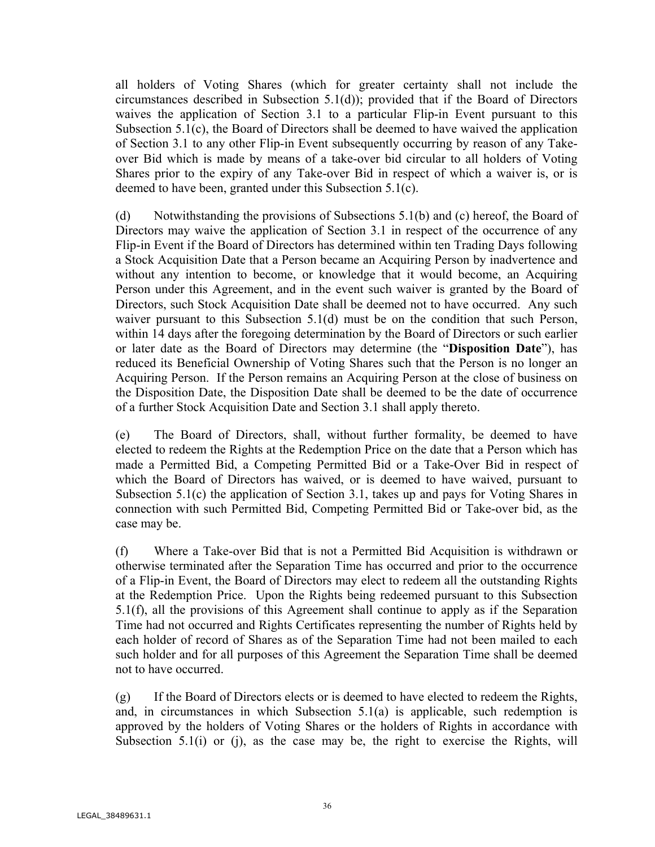all holders of Voting Shares (which for greater certainty shall not include the circumstances described in Subsection 5.1(d)); provided that if the Board of Directors waives the application of Section 3.1 to a particular Flip-in Event pursuant to this Subsection 5.1(c), the Board of Directors shall be deemed to have waived the application of Section 3.1 to any other Flip-in Event subsequently occurring by reason of any Takeover Bid which is made by means of a take-over bid circular to all holders of Voting Shares prior to the expiry of any Take-over Bid in respect of which a waiver is, or is deemed to have been, granted under this Subsection 5.1(c).

(d) Notwithstanding the provisions of Subsections 5.1(b) and (c) hereof, the Board of Directors may waive the application of Section 3.1 in respect of the occurrence of any Flip-in Event if the Board of Directors has determined within ten Trading Days following a Stock Acquisition Date that a Person became an Acquiring Person by inadvertence and without any intention to become, or knowledge that it would become, an Acquiring Person under this Agreement, and in the event such waiver is granted by the Board of Directors, such Stock Acquisition Date shall be deemed not to have occurred. Any such waiver pursuant to this Subsection 5.1(d) must be on the condition that such Person, within 14 days after the foregoing determination by the Board of Directors or such earlier or later date as the Board of Directors may determine (the "**Disposition Date**"), has reduced its Beneficial Ownership of Voting Shares such that the Person is no longer an Acquiring Person. If the Person remains an Acquiring Person at the close of business on the Disposition Date, the Disposition Date shall be deemed to be the date of occurrence of a further Stock Acquisition Date and Section 3.1 shall apply thereto.

(e) The Board of Directors, shall, without further formality, be deemed to have elected to redeem the Rights at the Redemption Price on the date that a Person which has made a Permitted Bid, a Competing Permitted Bid or a Take-Over Bid in respect of which the Board of Directors has waived, or is deemed to have waived, pursuant to Subsection 5.1(c) the application of Section 3.1, takes up and pays for Voting Shares in connection with such Permitted Bid, Competing Permitted Bid or Take-over bid, as the case may be.

(f) Where a Take-over Bid that is not a Permitted Bid Acquisition is withdrawn or otherwise terminated after the Separation Time has occurred and prior to the occurrence of a Flip-in Event, the Board of Directors may elect to redeem all the outstanding Rights at the Redemption Price. Upon the Rights being redeemed pursuant to this Subsection 5.1(f), all the provisions of this Agreement shall continue to apply as if the Separation Time had not occurred and Rights Certificates representing the number of Rights held by each holder of record of Shares as of the Separation Time had not been mailed to each such holder and for all purposes of this Agreement the Separation Time shall be deemed not to have occurred.

 $(g)$  If the Board of Directors elects or is deemed to have elected to redeem the Rights, and, in circumstances in which Subsection 5.1(a) is applicable, such redemption is approved by the holders of Voting Shares or the holders of Rights in accordance with Subsection 5.1(i) or (j), as the case may be, the right to exercise the Rights, will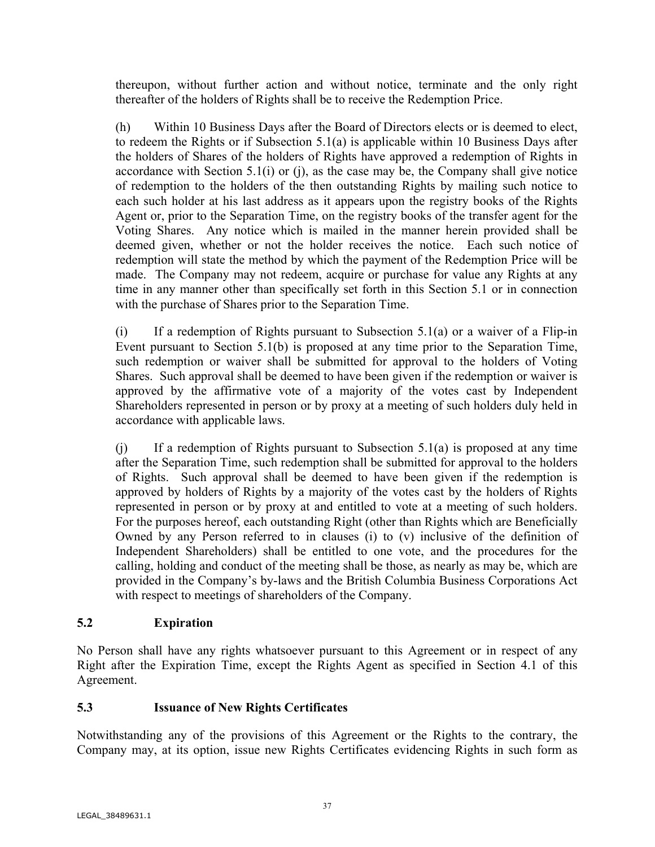thereupon, without further action and without notice, terminate and the only right thereafter of the holders of Rights shall be to receive the Redemption Price.

(h) Within 10 Business Days after the Board of Directors elects or is deemed to elect, to redeem the Rights or if Subsection 5.1(a) is applicable within 10 Business Days after the holders of Shares of the holders of Rights have approved a redemption of Rights in accordance with Section 5.1(i) or (j), as the case may be, the Company shall give notice of redemption to the holders of the then outstanding Rights by mailing such notice to each such holder at his last address as it appears upon the registry books of the Rights Agent or, prior to the Separation Time, on the registry books of the transfer agent for the Voting Shares. Any notice which is mailed in the manner herein provided shall be deemed given, whether or not the holder receives the notice. Each such notice of redemption will state the method by which the payment of the Redemption Price will be made. The Company may not redeem, acquire or purchase for value any Rights at any time in any manner other than specifically set forth in this Section 5.1 or in connection with the purchase of Shares prior to the Separation Time.

 $(i)$  If a redemption of Rights pursuant to Subsection 5.1(a) or a waiver of a Flip-in Event pursuant to Section 5.1(b) is proposed at any time prior to the Separation Time, such redemption or waiver shall be submitted for approval to the holders of Voting Shares. Such approval shall be deemed to have been given if the redemption or waiver is approved by the affirmative vote of a majority of the votes cast by Independent Shareholders represented in person or by proxy at a meeting of such holders duly held in accordance with applicable laws.

(j) If a redemption of Rights pursuant to Subsection 5.1(a) is proposed at any time after the Separation Time, such redemption shall be submitted for approval to the holders of Rights. Such approval shall be deemed to have been given if the redemption is approved by holders of Rights by a majority of the votes cast by the holders of Rights represented in person or by proxy at and entitled to vote at a meeting of such holders. For the purposes hereof, each outstanding Right (other than Rights which are Beneficially Owned by any Person referred to in clauses (i) to (v) inclusive of the definition of Independent Shareholders) shall be entitled to one vote, and the procedures for the calling, holding and conduct of the meeting shall be those, as nearly as may be, which are provided in the Company's by-laws and the British Columbia Business Corporations Act with respect to meetings of shareholders of the Company.

## **5.2 Expiration**

No Person shall have any rights whatsoever pursuant to this Agreement or in respect of any Right after the Expiration Time, except the Rights Agent as specified in Section 4.1 of this Agreement.

## **5.3 Issuance of New Rights Certificates**

Notwithstanding any of the provisions of this Agreement or the Rights to the contrary, the Company may, at its option, issue new Rights Certificates evidencing Rights in such form as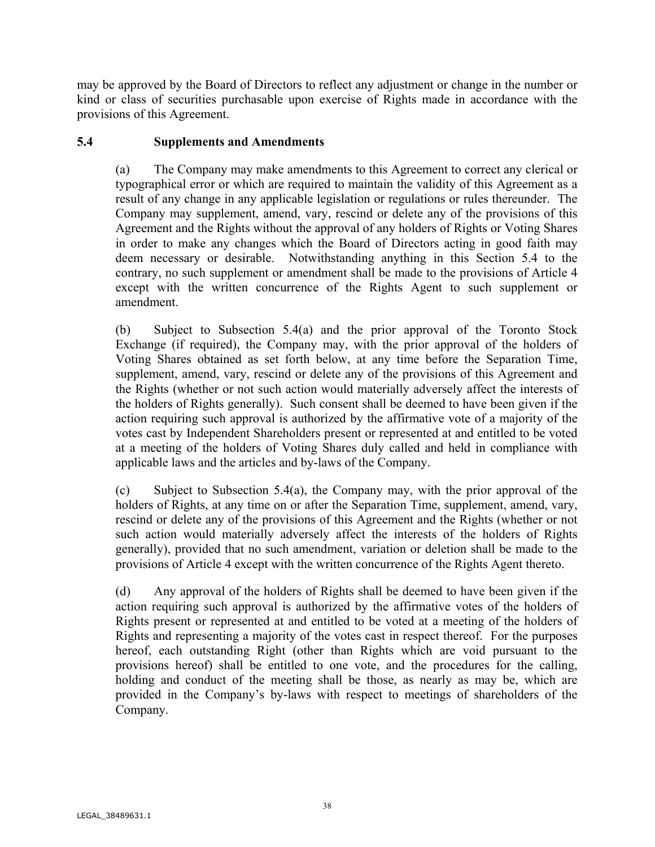may be approved by the Board of Directors to reflect any adjustment or change in the number or kind or class of securities purchasable upon exercise of Rights made in accordance with the provisions of this Agreement.

## **5.4 Supplements and Amendments**

(a) The Company may make amendments to this Agreement to correct any clerical or typographical error or which are required to maintain the validity of this Agreement as a result of any change in any applicable legislation or regulations or rules thereunder. The Company may supplement, amend, vary, rescind or delete any of the provisions of this Agreement and the Rights without the approval of any holders of Rights or Voting Shares in order to make any changes which the Board of Directors acting in good faith may deem necessary or desirable. Notwithstanding anything in this Section 5.4 to the contrary, no such supplement or amendment shall be made to the provisions of Article 4 except with the written concurrence of the Rights Agent to such supplement or amendment.

(b) Subject to Subsection 5.4(a) and the prior approval of the Toronto Stock Exchange (if required), the Company may, with the prior approval of the holders of Voting Shares obtained as set forth below, at any time before the Separation Time, supplement, amend, vary, rescind or delete any of the provisions of this Agreement and the Rights (whether or not such action would materially adversely affect the interests of the holders of Rights generally). Such consent shall be deemed to have been given if the action requiring such approval is authorized by the affirmative vote of a majority of the votes cast by Independent Shareholders present or represented at and entitled to be voted at a meeting of the holders of Voting Shares duly called and held in compliance with applicable laws and the articles and by-laws of the Company.

(c) Subject to Subsection 5.4(a), the Company may, with the prior approval of the holders of Rights, at any time on or after the Separation Time, supplement, amend, vary, rescind or delete any of the provisions of this Agreement and the Rights (whether or not such action would materially adversely affect the interests of the holders of Rights generally), provided that no such amendment, variation or deletion shall be made to the provisions of Article 4 except with the written concurrence of the Rights Agent thereto.

(d) Any approval of the holders of Rights shall be deemed to have been given if the action requiring such approval is authorized by the affirmative votes of the holders of Rights present or represented at and entitled to be voted at a meeting of the holders of Rights and representing a majority of the votes cast in respect thereof. For the purposes hereof, each outstanding Right (other than Rights which are void pursuant to the provisions hereof) shall be entitled to one vote, and the procedures for the calling, holding and conduct of the meeting shall be those, as nearly as may be, which are provided in the Company's by-laws with respect to meetings of shareholders of the Company.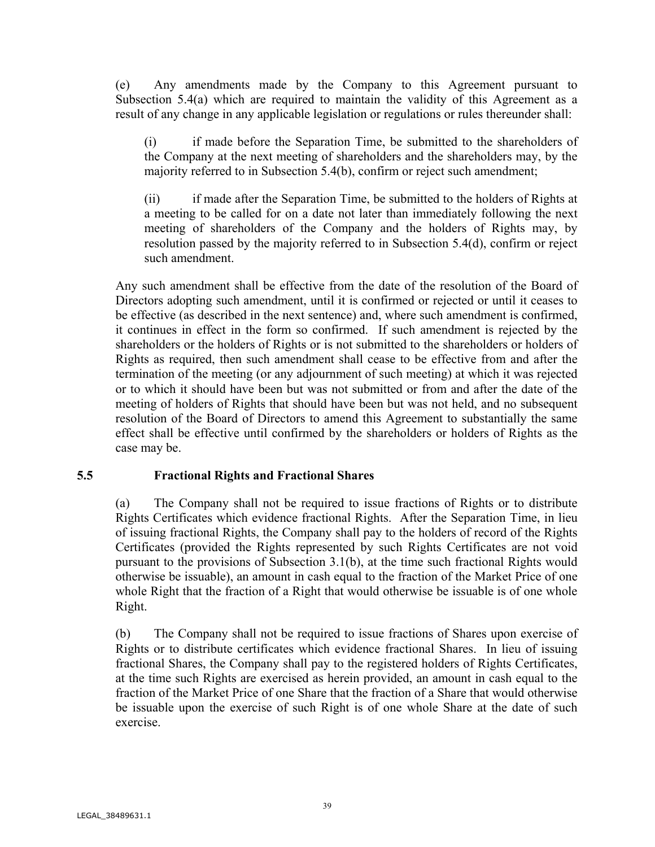(e) Any amendments made by the Company to this Agreement pursuant to Subsection 5.4(a) which are required to maintain the validity of this Agreement as a result of any change in any applicable legislation or regulations or rules thereunder shall:

(i) if made before the Separation Time, be submitted to the shareholders of the Company at the next meeting of shareholders and the shareholders may, by the majority referred to in Subsection 5.4(b), confirm or reject such amendment;

(ii) if made after the Separation Time, be submitted to the holders of Rights at a meeting to be called for on a date not later than immediately following the next meeting of shareholders of the Company and the holders of Rights may, by resolution passed by the majority referred to in Subsection 5.4(d), confirm or reject such amendment.

Any such amendment shall be effective from the date of the resolution of the Board of Directors adopting such amendment, until it is confirmed or rejected or until it ceases to be effective (as described in the next sentence) and, where such amendment is confirmed, it continues in effect in the form so confirmed. If such amendment is rejected by the shareholders or the holders of Rights or is not submitted to the shareholders or holders of Rights as required, then such amendment shall cease to be effective from and after the termination of the meeting (or any adjournment of such meeting) at which it was rejected or to which it should have been but was not submitted or from and after the date of the meeting of holders of Rights that should have been but was not held, and no subsequent resolution of the Board of Directors to amend this Agreement to substantially the same effect shall be effective until confirmed by the shareholders or holders of Rights as the case may be.

## **5.5 Fractional Rights and Fractional Shares**

(a) The Company shall not be required to issue fractions of Rights or to distribute Rights Certificates which evidence fractional Rights. After the Separation Time, in lieu of issuing fractional Rights, the Company shall pay to the holders of record of the Rights Certificates (provided the Rights represented by such Rights Certificates are not void pursuant to the provisions of Subsection 3.1(b), at the time such fractional Rights would otherwise be issuable), an amount in cash equal to the fraction of the Market Price of one whole Right that the fraction of a Right that would otherwise be issuable is of one whole Right.

(b) The Company shall not be required to issue fractions of Shares upon exercise of Rights or to distribute certificates which evidence fractional Shares. In lieu of issuing fractional Shares, the Company shall pay to the registered holders of Rights Certificates, at the time such Rights are exercised as herein provided, an amount in cash equal to the fraction of the Market Price of one Share that the fraction of a Share that would otherwise be issuable upon the exercise of such Right is of one whole Share at the date of such exercise.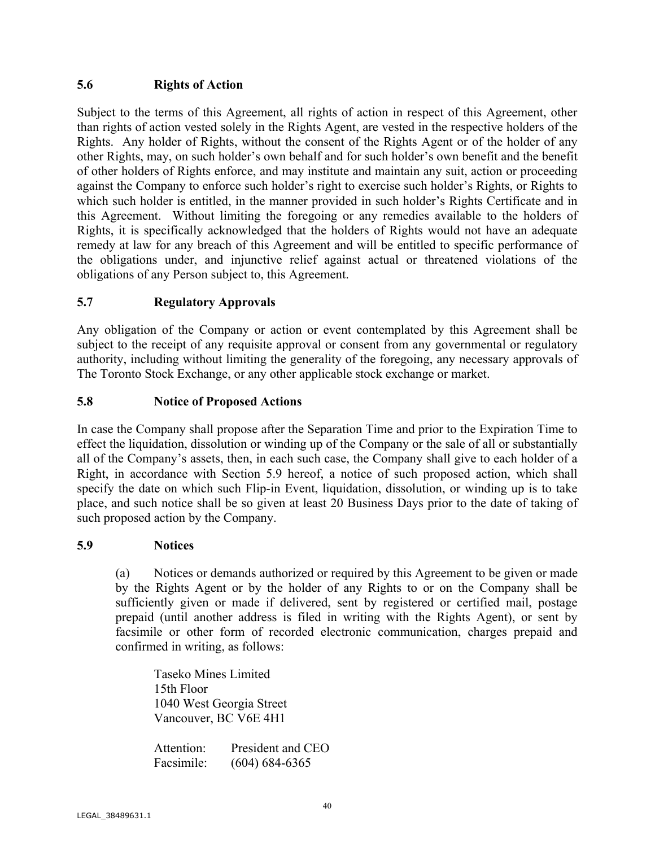## **5.6 Rights of Action**

Subject to the terms of this Agreement, all rights of action in respect of this Agreement, other than rights of action vested solely in the Rights Agent, are vested in the respective holders of the Rights. Any holder of Rights, without the consent of the Rights Agent or of the holder of any other Rights, may, on such holder's own behalf and for such holder's own benefit and the benefit of other holders of Rights enforce, and may institute and maintain any suit, action or proceeding against the Company to enforce such holder's right to exercise such holder's Rights, or Rights to which such holder is entitled, in the manner provided in such holder's Rights Certificate and in this Agreement. Without limiting the foregoing or any remedies available to the holders of Rights, it is specifically acknowledged that the holders of Rights would not have an adequate remedy at law for any breach of this Agreement and will be entitled to specific performance of the obligations under, and injunctive relief against actual or threatened violations of the obligations of any Person subject to, this Agreement.

## **5.7 Regulatory Approvals**

Any obligation of the Company or action or event contemplated by this Agreement shall be subject to the receipt of any requisite approval or consent from any governmental or regulatory authority, including without limiting the generality of the foregoing, any necessary approvals of The Toronto Stock Exchange, or any other applicable stock exchange or market.

### **5.8 Notice of Proposed Actions**

In case the Company shall propose after the Separation Time and prior to the Expiration Time to effect the liquidation, dissolution or winding up of the Company or the sale of all or substantially all of the Company's assets, then, in each such case, the Company shall give to each holder of a Right, in accordance with Section 5.9 hereof, a notice of such proposed action, which shall specify the date on which such Flip-in Event, liquidation, dissolution, or winding up is to take place, and such notice shall be so given at least 20 Business Days prior to the date of taking of such proposed action by the Company.

### **5.9 Notices**

(a) Notices or demands authorized or required by this Agreement to be given or made by the Rights Agent or by the holder of any Rights to or on the Company shall be sufficiently given or made if delivered, sent by registered or certified mail, postage prepaid (until another address is filed in writing with the Rights Agent), or sent by facsimile or other form of recorded electronic communication, charges prepaid and confirmed in writing, as follows:

Taseko Mines Limited 15th Floor 1040 West Georgia Street Vancouver, BC V6E 4H1

Attention: President and CEO Facsimile: (604) 684-6365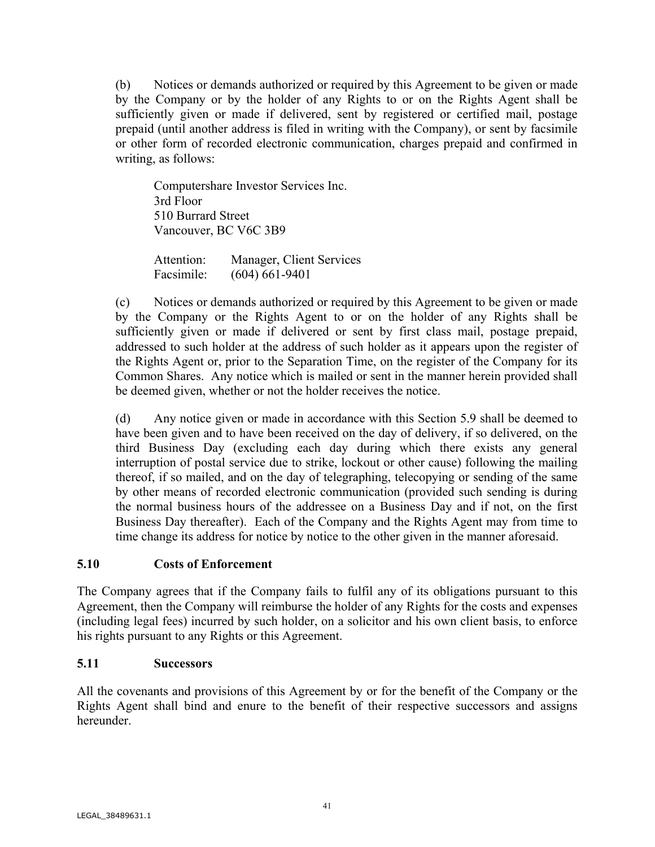(b) Notices or demands authorized or required by this Agreement to be given or made by the Company or by the holder of any Rights to or on the Rights Agent shall be sufficiently given or made if delivered, sent by registered or certified mail, postage prepaid (until another address is filed in writing with the Company), or sent by facsimile or other form of recorded electronic communication, charges prepaid and confirmed in writing, as follows:

Computershare Investor Services Inc. 3rd Floor 510 Burrard Street Vancouver, BC V6C 3B9

Attention: Manager, Client Services Facsimile: (604) 661-9401

(c) Notices or demands authorized or required by this Agreement to be given or made by the Company or the Rights Agent to or on the holder of any Rights shall be sufficiently given or made if delivered or sent by first class mail, postage prepaid, addressed to such holder at the address of such holder as it appears upon the register of the Rights Agent or, prior to the Separation Time, on the register of the Company for its Common Shares. Any notice which is mailed or sent in the manner herein provided shall be deemed given, whether or not the holder receives the notice.

(d) Any notice given or made in accordance with this Section 5.9 shall be deemed to have been given and to have been received on the day of delivery, if so delivered, on the third Business Day (excluding each day during which there exists any general interruption of postal service due to strike, lockout or other cause) following the mailing thereof, if so mailed, and on the day of telegraphing, telecopying or sending of the same by other means of recorded electronic communication (provided such sending is during the normal business hours of the addressee on a Business Day and if not, on the first Business Day thereafter). Each of the Company and the Rights Agent may from time to time change its address for notice by notice to the other given in the manner aforesaid.

## **5.10 Costs of Enforcement**

The Company agrees that if the Company fails to fulfil any of its obligations pursuant to this Agreement, then the Company will reimburse the holder of any Rights for the costs and expenses (including legal fees) incurred by such holder, on a solicitor and his own client basis, to enforce his rights pursuant to any Rights or this Agreement.

### **5.11 Successors**

All the covenants and provisions of this Agreement by or for the benefit of the Company or the Rights Agent shall bind and enure to the benefit of their respective successors and assigns hereunder.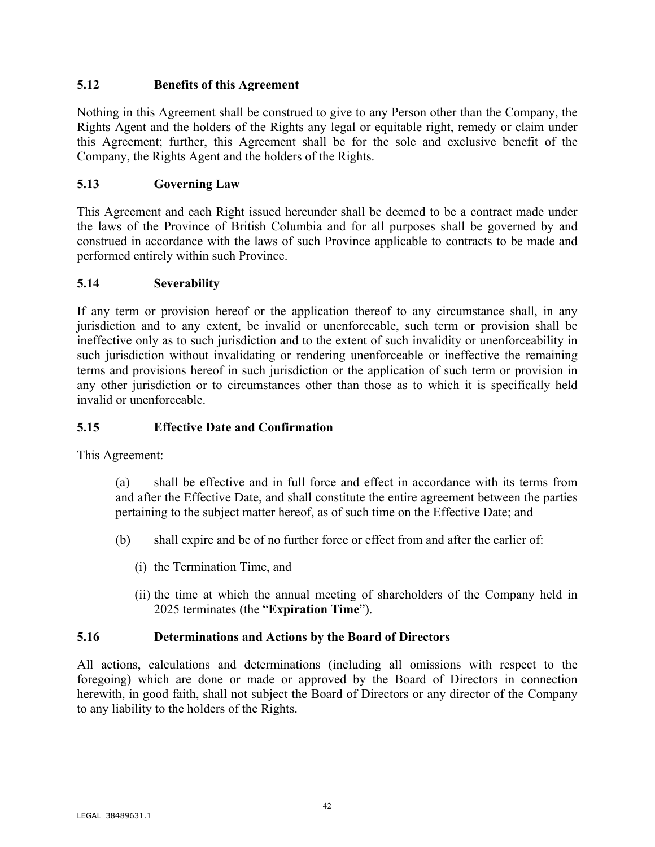# **5.12 Benefits of this Agreement**

Nothing in this Agreement shall be construed to give to any Person other than the Company, the Rights Agent and the holders of the Rights any legal or equitable right, remedy or claim under this Agreement; further, this Agreement shall be for the sole and exclusive benefit of the Company, the Rights Agent and the holders of the Rights.

# **5.13 Governing Law**

This Agreement and each Right issued hereunder shall be deemed to be a contract made under the laws of the Province of British Columbia and for all purposes shall be governed by and construed in accordance with the laws of such Province applicable to contracts to be made and performed entirely within such Province.

## **5.14 Severability**

If any term or provision hereof or the application thereof to any circumstance shall, in any jurisdiction and to any extent, be invalid or unenforceable, such term or provision shall be ineffective only as to such jurisdiction and to the extent of such invalidity or unenforceability in such jurisdiction without invalidating or rendering unenforceable or ineffective the remaining terms and provisions hereof in such jurisdiction or the application of such term or provision in any other jurisdiction or to circumstances other than those as to which it is specifically held invalid or unenforceable.

## **5.15 Effective Date and Confirmation**

This Agreement:

(a) shall be effective and in full force and effect in accordance with its terms from and after the Effective Date, and shall constitute the entire agreement between the parties pertaining to the subject matter hereof, as of such time on the Effective Date; and

- (b) shall expire and be of no further force or effect from and after the earlier of:
	- (i) the Termination Time, and
	- (ii) the time at which the annual meeting of shareholders of the Company held in 2025 terminates (the "**Expiration Time**").

### **5.16 Determinations and Actions by the Board of Directors**

All actions, calculations and determinations (including all omissions with respect to the foregoing) which are done or made or approved by the Board of Directors in connection herewith, in good faith, shall not subject the Board of Directors or any director of the Company to any liability to the holders of the Rights.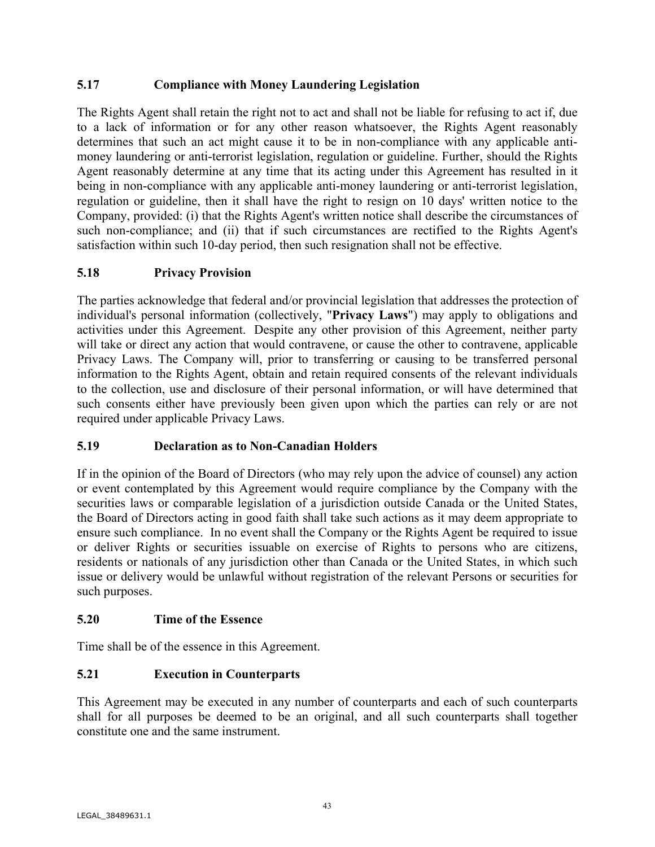## **5.17 Compliance with Money Laundering Legislation**

The Rights Agent shall retain the right not to act and shall not be liable for refusing to act if, due to a lack of information or for any other reason whatsoever, the Rights Agent reasonably determines that such an act might cause it to be in non-compliance with any applicable antimoney laundering or anti-terrorist legislation, regulation or guideline. Further, should the Rights Agent reasonably determine at any time that its acting under this Agreement has resulted in it being in non-compliance with any applicable anti-money laundering or anti-terrorist legislation, regulation or guideline, then it shall have the right to resign on 10 days' written notice to the Company, provided: (i) that the Rights Agent's written notice shall describe the circumstances of such non-compliance; and (ii) that if such circumstances are rectified to the Rights Agent's satisfaction within such 10-day period, then such resignation shall not be effective.

# **5.18 Privacy Provision**

The parties acknowledge that federal and/or provincial legislation that addresses the protection of individual's personal information (collectively, "**Privacy Laws**") may apply to obligations and activities under this Agreement. Despite any other provision of this Agreement, neither party will take or direct any action that would contravene, or cause the other to contravene, applicable Privacy Laws. The Company will, prior to transferring or causing to be transferred personal information to the Rights Agent, obtain and retain required consents of the relevant individuals to the collection, use and disclosure of their personal information, or will have determined that such consents either have previously been given upon which the parties can rely or are not required under applicable Privacy Laws.

## **5.19 Declaration as to Non-Canadian Holders**

If in the opinion of the Board of Directors (who may rely upon the advice of counsel) any action or event contemplated by this Agreement would require compliance by the Company with the securities laws or comparable legislation of a jurisdiction outside Canada or the United States, the Board of Directors acting in good faith shall take such actions as it may deem appropriate to ensure such compliance. In no event shall the Company or the Rights Agent be required to issue or deliver Rights or securities issuable on exercise of Rights to persons who are citizens, residents or nationals of any jurisdiction other than Canada or the United States, in which such issue or delivery would be unlawful without registration of the relevant Persons or securities for such purposes.

## **5.20 Time of the Essence**

Time shall be of the essence in this Agreement.

## **5.21 Execution in Counterparts**

This Agreement may be executed in any number of counterparts and each of such counterparts shall for all purposes be deemed to be an original, and all such counterparts shall together constitute one and the same instrument.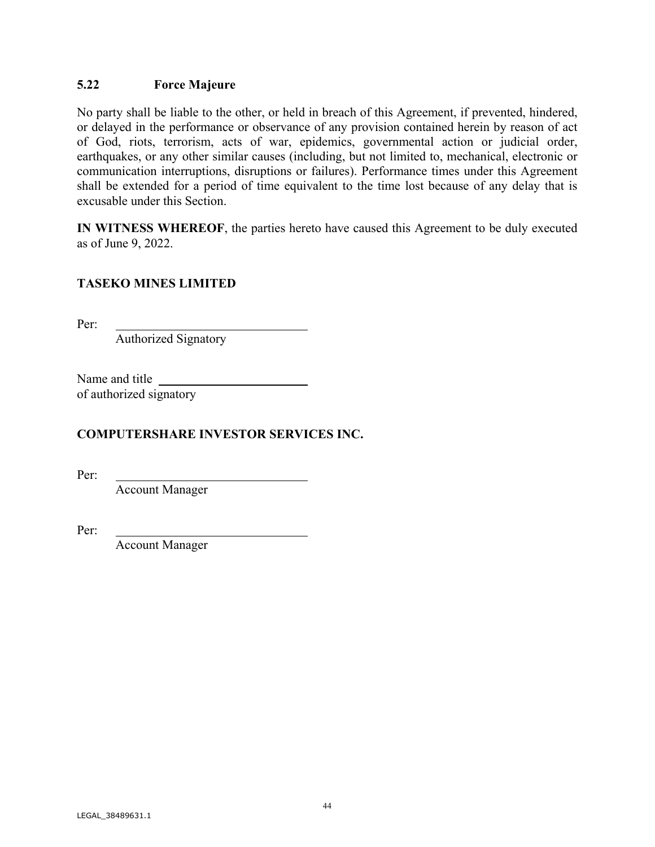## **5.22 Force Majeure**

No party shall be liable to the other, or held in breach of this Agreement, if prevented, hindered, or delayed in the performance or observance of any provision contained herein by reason of act of God, riots, terrorism, acts of war, epidemics, governmental action or judicial order, earthquakes, or any other similar causes (including, but not limited to, mechanical, electronic or communication interruptions, disruptions or failures). Performance times under this Agreement shall be extended for a period of time equivalent to the time lost because of any delay that is excusable under this Section.

**IN WITNESS WHEREOF**, the parties hereto have caused this Agreement to be duly executed as of June 9, 2022.

## **TASEKO MINES LIMITED**

Per:

Authorized Signatory

Name and title of authorized signatory

# **COMPUTERSHARE INVESTOR SERVICES INC.**

Per:

Account Manager

Per:

Account Manager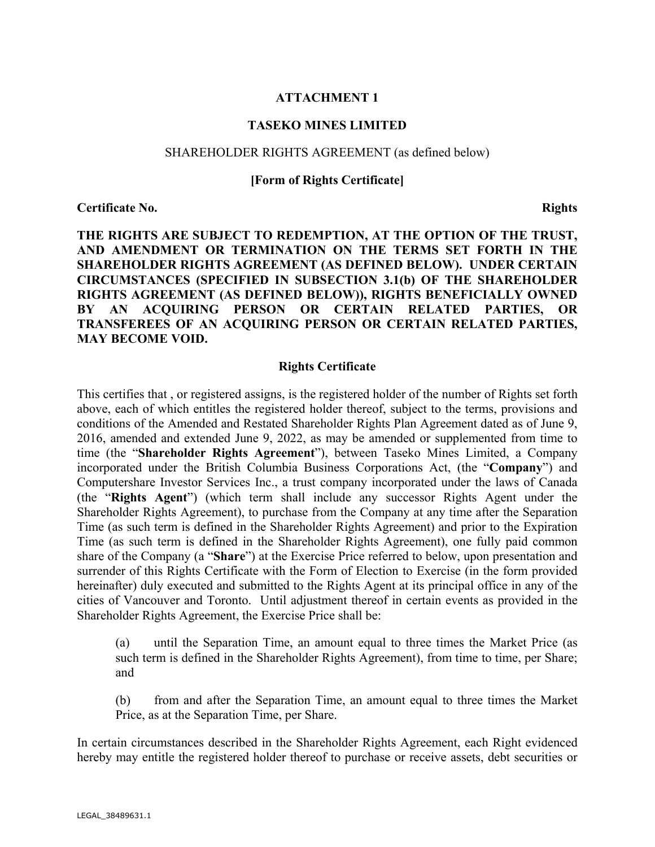### **ATTACHMENT 1**

### **TASEKO MINES LIMITED**

#### SHAREHOLDER RIGHTS AGREEMENT (as defined below)

#### **[Form of Rights Certificate]**

**Certificate No.** Rights

**THE RIGHTS ARE SUBJECT TO REDEMPTION, AT THE OPTION OF THE TRUST, AND AMENDMENT OR TERMINATION ON THE TERMS SET FORTH IN THE SHAREHOLDER RIGHTS AGREEMENT (AS DEFINED BELOW). UNDER CERTAIN CIRCUMSTANCES (SPECIFIED IN SUBSECTION 3.1(b) OF THE SHAREHOLDER RIGHTS AGREEMENT (AS DEFINED BELOW)), RIGHTS BENEFICIALLY OWNED BY AN ACQUIRING PERSON OR CERTAIN RELATED PARTIES, OR TRANSFEREES OF AN ACQUIRING PERSON OR CERTAIN RELATED PARTIES, MAY BECOME VOID.** 

#### **Rights Certificate**

This certifies that , or registered assigns, is the registered holder of the number of Rights set forth above, each of which entitles the registered holder thereof, subject to the terms, provisions and conditions of the Amended and Restated Shareholder Rights Plan Agreement dated as of June 9, 2016, amended and extended June 9, 2022, as may be amended or supplemented from time to time (the "**Shareholder Rights Agreement**"), between Taseko Mines Limited, a Company incorporated under the British Columbia Business Corporations Act, (the "**Company**") and Computershare Investor Services Inc., a trust company incorporated under the laws of Canada (the "**Rights Agent**") (which term shall include any successor Rights Agent under the Shareholder Rights Agreement), to purchase from the Company at any time after the Separation Time (as such term is defined in the Shareholder Rights Agreement) and prior to the Expiration Time (as such term is defined in the Shareholder Rights Agreement), one fully paid common share of the Company (a "**Share**") at the Exercise Price referred to below, upon presentation and surrender of this Rights Certificate with the Form of Election to Exercise (in the form provided hereinafter) duly executed and submitted to the Rights Agent at its principal office in any of the cities of Vancouver and Toronto. Until adjustment thereof in certain events as provided in the Shareholder Rights Agreement, the Exercise Price shall be:

(a) until the Separation Time, an amount equal to three times the Market Price (as such term is defined in the Shareholder Rights Agreement), from time to time, per Share; and

(b) from and after the Separation Time, an amount equal to three times the Market Price, as at the Separation Time, per Share.

In certain circumstances described in the Shareholder Rights Agreement, each Right evidenced hereby may entitle the registered holder thereof to purchase or receive assets, debt securities or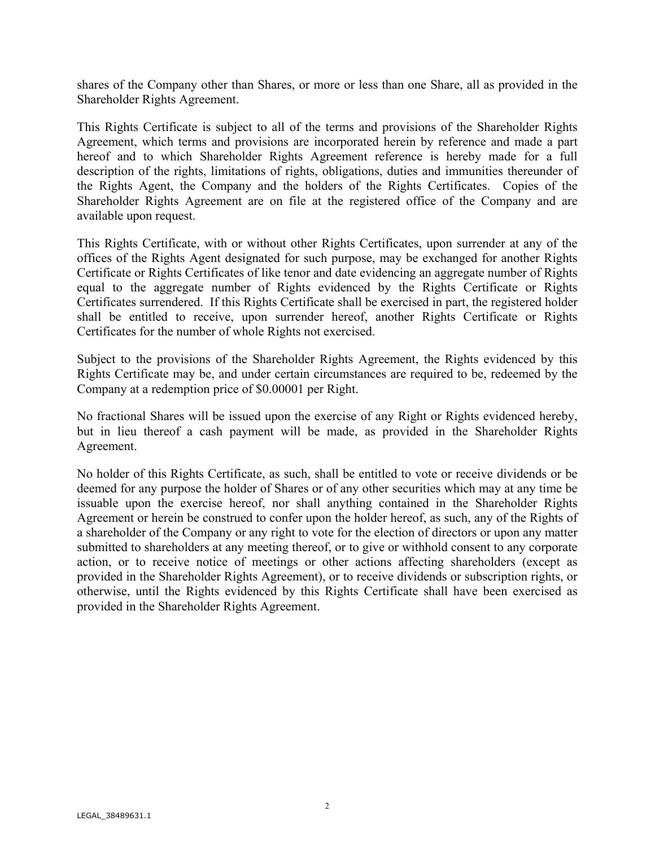shares of the Company other than Shares, or more or less than one Share, all as provided in the Shareholder Rights Agreement.

This Rights Certificate is subject to all of the terms and provisions of the Shareholder Rights Agreement, which terms and provisions are incorporated herein by reference and made a part hereof and to which Shareholder Rights Agreement reference is hereby made for a full description of the rights, limitations of rights, obligations, duties and immunities thereunder of the Rights Agent, the Company and the holders of the Rights Certificates. Copies of the Shareholder Rights Agreement are on file at the registered office of the Company and are available upon request.

This Rights Certificate, with or without other Rights Certificates, upon surrender at any of the offices of the Rights Agent designated for such purpose, may be exchanged for another Rights Certificate or Rights Certificates of like tenor and date evidencing an aggregate number of Rights equal to the aggregate number of Rights evidenced by the Rights Certificate or Rights Certificates surrendered. If this Rights Certificate shall be exercised in part, the registered holder shall be entitled to receive, upon surrender hereof, another Rights Certificate or Rights Certificates for the number of whole Rights not exercised.

Subject to the provisions of the Shareholder Rights Agreement, the Rights evidenced by this Rights Certificate may be, and under certain circumstances are required to be, redeemed by the Company at a redemption price of \$0.00001 per Right.

No fractional Shares will be issued upon the exercise of any Right or Rights evidenced hereby, but in lieu thereof a cash payment will be made, as provided in the Shareholder Rights Agreement.

No holder of this Rights Certificate, as such, shall be entitled to vote or receive dividends or be deemed for any purpose the holder of Shares or of any other securities which may at any time be issuable upon the exercise hereof, nor shall anything contained in the Shareholder Rights Agreement or herein be construed to confer upon the holder hereof, as such, any of the Rights of a shareholder of the Company or any right to vote for the election of directors or upon any matter submitted to shareholders at any meeting thereof, or to give or withhold consent to any corporate action, or to receive notice of meetings or other actions affecting shareholders (except as provided in the Shareholder Rights Agreement), or to receive dividends or subscription rights, or otherwise, until the Rights evidenced by this Rights Certificate shall have been exercised as provided in the Shareholder Rights Agreement.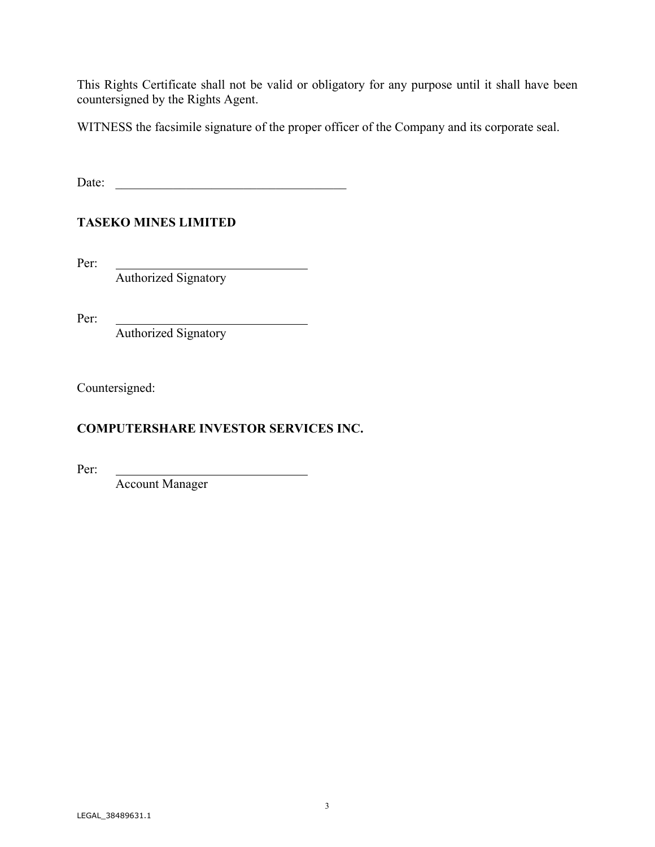This Rights Certificate shall not be valid or obligatory for any purpose until it shall have been countersigned by the Rights Agent.

WITNESS the facsimile signature of the proper officer of the Company and its corporate seal.

Date: \_\_\_\_\_\_\_\_\_\_\_\_\_\_\_\_\_\_\_\_\_\_\_\_\_\_\_\_\_\_\_\_\_\_\_\_

# **TASEKO MINES LIMITED**

Per:

Authorized Signatory

Per:

Authorized Signatory

Countersigned:

# **COMPUTERSHARE INVESTOR SERVICES INC.**

Per:

Account Manager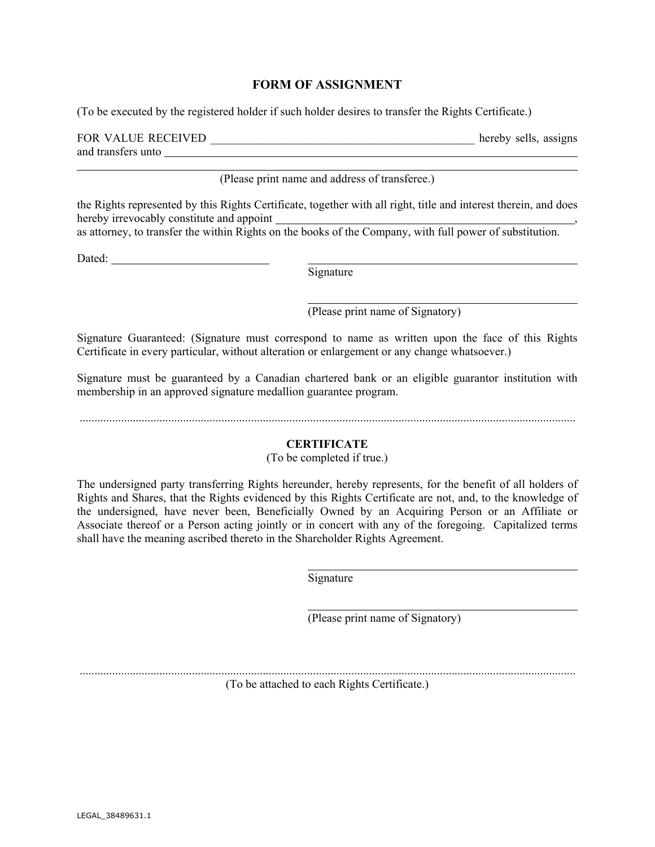#### **FORM OF ASSIGNMENT**

(To be executed by the registered holder if such holder desires to transfer the Rights Certificate.)

| FOR VALUE RECEIVED | hereby sells, assigns |  |
|--------------------|-----------------------|--|
| and transfers unto |                       |  |

(Please print name and address of transferee.)

the Rights represented by this Rights Certificate, together with all right, title and interest therein, and does hereby irrevocably constitute and appoint

as attorney, to transfer the within Rights on the books of the Company, with full power of substitution.

Dated:

Signature

(Please print name of Signatory)

Signature Guaranteed: (Signature must correspond to name as written upon the face of this Rights Certificate in every particular, without alteration or enlargement or any change whatsoever.)

Signature must be guaranteed by a Canadian chartered bank or an eligible guarantor institution with membership in an approved signature medallion guarantee program.

........................................................................................................................................................................

#### **CERTIFICATE**

(To be completed if true.)

The undersigned party transferring Rights hereunder, hereby represents, for the benefit of all holders of Rights and Shares, that the Rights evidenced by this Rights Certificate are not, and, to the knowledge of the undersigned, have never been, Beneficially Owned by an Acquiring Person or an Affiliate or Associate thereof or a Person acting jointly or in concert with any of the foregoing. Capitalized terms shall have the meaning ascribed thereto in the Shareholder Rights Agreement.

Signature

(Please print name of Signatory)

........................................................................................................................................................................

(To be attached to each Rights Certificate.)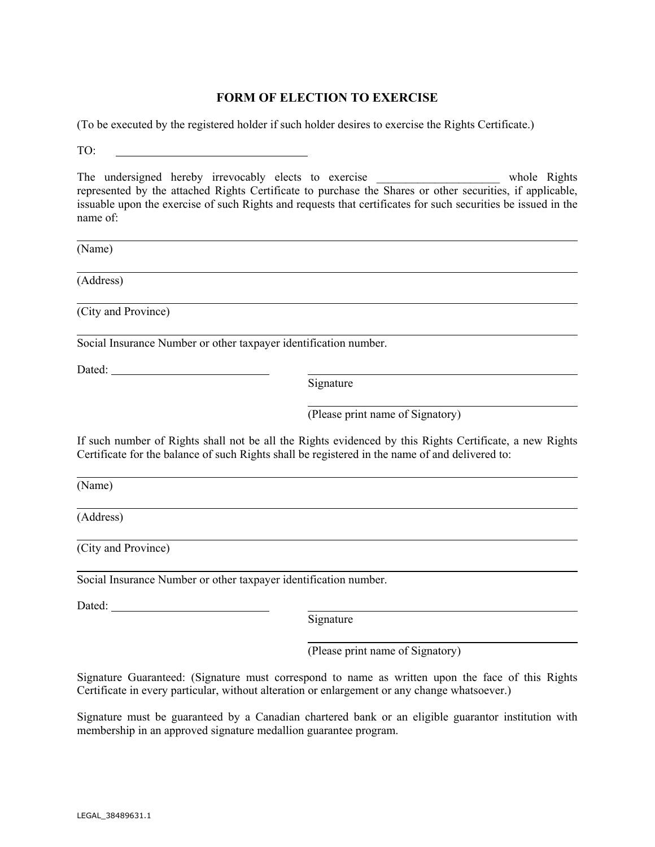## **FORM OF ELECTION TO EXERCISE**

(To be executed by the registered holder if such holder desires to exercise the Rights Certificate.)

TO:

The undersigned hereby irrevocably elects to exercise \_\_\_\_\_\_\_\_\_\_\_\_\_\_\_\_\_\_\_\_ whole Rights represented by the attached Rights Certificate to purchase the Shares or other securities, if applicable, issuable upon the exercise of such Rights and requests that certificates for such securities be issued in the name of:

(Name)

(Address)

(City and Province)

Social Insurance Number or other taxpayer identification number.

Dated:

Signature

(Please print name of Signatory)

If such number of Rights shall not be all the Rights evidenced by this Rights Certificate, a new Rights Certificate for the balance of such Rights shall be registered in the name of and delivered to:

(Name)

(Address)

(City and Province)

Social Insurance Number or other taxpayer identification number.

Dated: **Dated: Dated: Dated: Dated: Dated: Dated: Date: Date: Date: Date: Date: Date: Date: Date: Date: Date: Date: Date: Date: Date: Date: Date: Date: Date: Date: Date:**

Signature

(Please print name of Signatory)

Signature Guaranteed: (Signature must correspond to name as written upon the face of this Rights Certificate in every particular, without alteration or enlargement or any change whatsoever.)

Signature must be guaranteed by a Canadian chartered bank or an eligible guarantor institution with membership in an approved signature medallion guarantee program.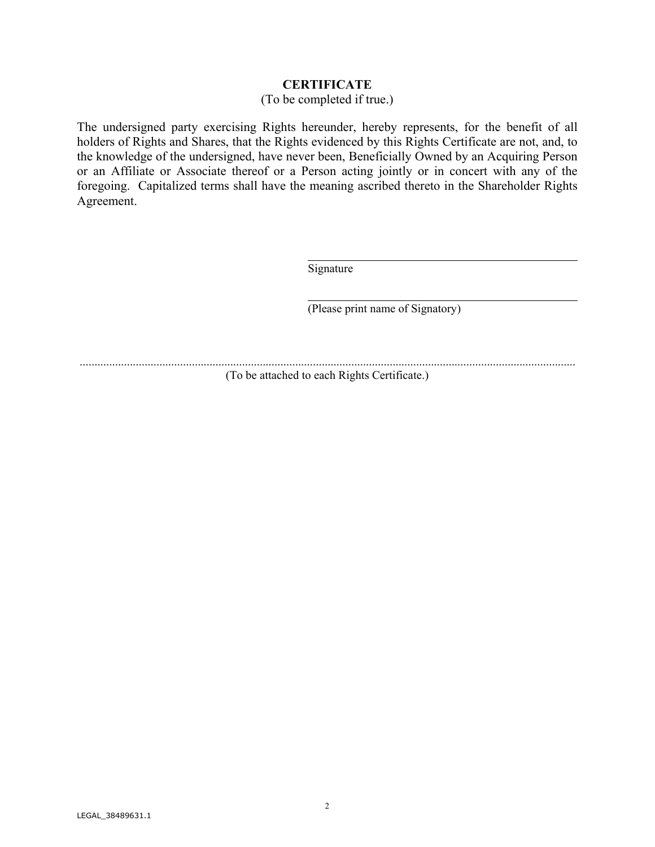### **CERTIFICATE**

#### (To be completed if true.)

The undersigned party exercising Rights hereunder, hereby represents, for the benefit of all holders of Rights and Shares, that the Rights evidenced by this Rights Certificate are not, and, to the knowledge of the undersigned, have never been, Beneficially Owned by an Acquiring Person or an Affiliate or Associate thereof or a Person acting jointly or in concert with any of the foregoing. Capitalized terms shall have the meaning ascribed thereto in the Shareholder Rights Agreement.

Signature

(Please print name of Signatory)

........................................................................................................................................................................

(To be attached to each Rights Certificate.)